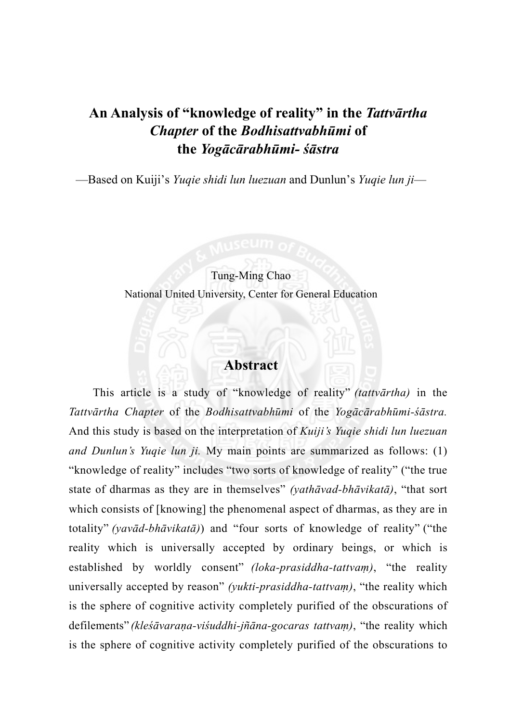## **An Analysis of "knowledge of reality" in the** *Tattvārtha Chapter* **of the** *Bodhisattvabhūmi* **of the** *Yogācārabhūmi- śāstra*

—Based on Kuiji's *Yuqie shidi lun luezuan* and Dunlun's *Yuqie lun ji*—

#### Tung-Ming Chao

National United University, Center for General Education

## **Abstract**

This article is a study of "knowledge of reality" *(tattvārtha)* in the *Tattvārtha Chapter* of the *Bodhisattvabhūmi* of the *Yogācārabhūmi-śāstra.* And this study is based on the interpretation of *Kuiji's Yuqie shidi lun luezuan and Dunlun's Yuqie lun ji.* My main points are summarized as follows: (1) "knowledge of reality" includes "two sorts of knowledge of reality" ("the true state of dharmas as they are in themselves" *(yathāvad-bhāvikatā)*, "that sort which consists of [knowing] the phenomenal aspect of dharmas, as they are in totality" *(yavād-bhāvikatā)*) and "four sorts of knowledge of reality" ("the reality which is universally accepted by ordinary beings, or which is established by worldly consent" *(loka-prasiddha-tattvaṃ)*, "the reality universally accepted by reason" *(yukti-prasiddha-tattvaṃ)*, "the reality which is the sphere of cognitive activity completely purified of the obscurations of defilements" *(kleśāvaraṇa-viśuddhi-jñāna-gocaras tattvaṃ)*, "the reality which is the sphere of cognitive activity completely purified of the obscurations to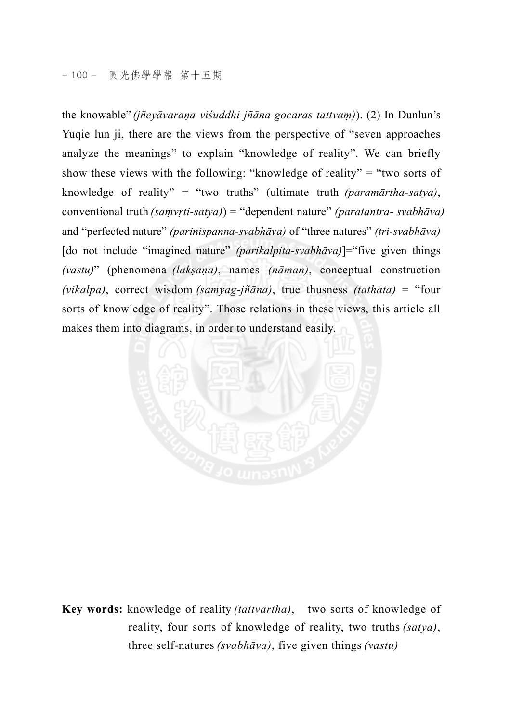the knowable" *(jñeyāvaraṇa-viśuddhi-jñāna-gocaras tattvaṃ)*). (2) In Dunlun's Yuqie lun ji, there are the views from the perspective of "seven approaches analyze the meanings" to explain "knowledge of reality". We can briefly show these views with the following: "knowledge of reality" = "two sorts of knowledge of reality" = "two truths" (ultimate truth *(paramārtha-satya)*, conventional truth *(saṃvṛti-satya)*) = "dependent nature" *(paratantra- svabhāva)* and "perfected nature" *(parinispanna-svabhāva)* of "three natures" *(tri-svabhāva)* [do not include "imagined nature" *(parikalpita-svabhāva)*]="five given things *(vastu)*" (phenomena *(lakṣaṇa)*, names *(nāman)*, conceptual construction *(vikalpa)*, correct wisdom *(samyag-jñāna)*, true thusness *(tathata)* = "four sorts of knowledge of reality". Those relations in these views, this article all makes them into diagrams, in order to understand easily.



**Key words:** knowledge of reality *(tattvārtha)*, two sorts of knowledge of reality, four sorts of knowledge of reality, two truths *(satya)*, three self-natures *(svabhāva)*, five given things *(vastu)*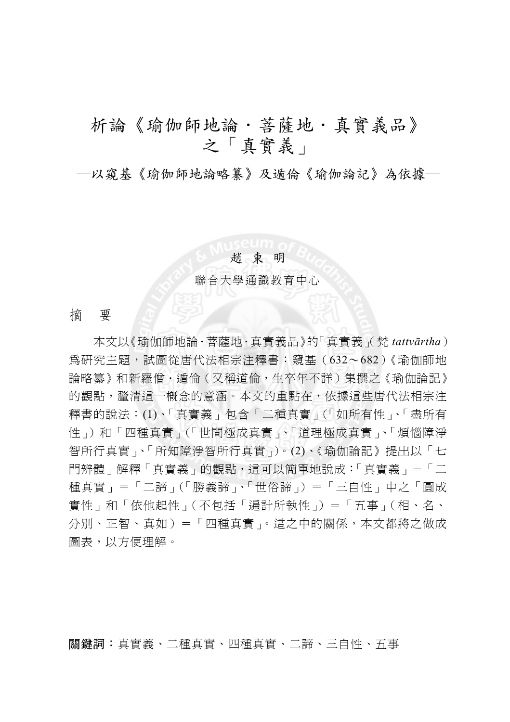# 析論《瑜伽師地論·菩薩地·真實義品》 之「真實義」

─以窺基《瑜伽師地論略纂》及遁倫《瑜伽論記》為依據─

#### 趙 東 明

聯合大學通識教育中心

摘 要

本文以《瑜伽師地論.菩薩地.真實義品》的「真實義」(梵 *tattvārtha*) 為研究主題,試圖從唐代法相宗注釋書:窺基(632~682)《瑜伽師地 論略纂》和新羅僧·遁倫(又稱道倫,生卒年不詳)集撰之《瑜伽論記》 的觀點,釐清這一概念的意涵。本文的重點在,依據這些唐代法相宗注 釋書的說法:(1)、「真實義」包含「二種真實」(「如所有性」、「盡所有 性」)和「四種真實」(「世間極成真實」、「道理極成真實」、「煩惱障淨 智所行真實」、「所知障淨智所行真實」)。(2)、《瑜伽論記》提出以「七 門辨體」解釋「真實義」的觀點,這可以簡單地說成:「真實義」=「二 種真實」=「二諦」(「勝義諦」、「世俗諦」)=「三自性」中之「圓成 實性」和「依他起性」(不包括「遍計所執性」)=「五事」(相、名、 分別、正智、真如)=「四種真實」。這之中的關係,本文都將之做成 圖表,以方便理解。

關鍵詞:真實義、二種真實、四種真實、二諦、三自性、五事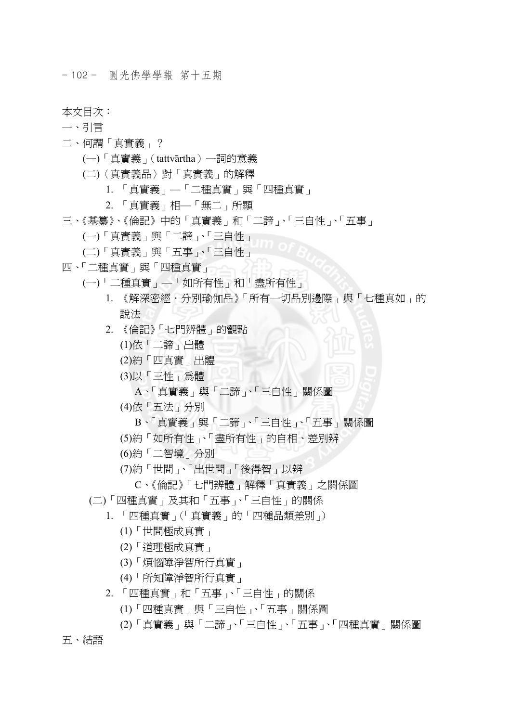- 102 - 圓光佛學學報 第十五期

本文目次:

- 一、引言
- 二、何謂「真實義」?
	- (一)「真實義」(tattvārtha)一詞的意義
	- (二)〈真實義品〉對「真實義」的解釋
		- 1. 「真實義」—「二種真實」與「四種真實」
		- 2. 「真實義」相—「無二」所顯
- 三、《基纂》、《倫記》中的「真實義」和「二諦」、「三自性」、「五事」
	- (一)「真實義」與「二諦」、「三自性」
	- (二)「真實義」與「五事」、「三自性」
- 四、「二種真實」與「四種真實」
	- (一)「二種真實」—「如所有性」和「盡所有性」
		- 1. 《解深密經·分別瑜伽品》「所有一切品別邊際」與「七種真如」的 說法
		- 2. 《倫記》「七門辨體」的觀點
			- (1)依「二諦」出體
			- (2)約「四真實」出體
			- (3)以「三性」為體
				- A、「真實義」與「二諦」、「三自性」關係圖
			- (4)依「五法」分別
				- B、「真實義」與「二諦」、「三自性」、「五事」關係圖
			- (5)約「如所有性」、「盡所有性」的自相、差別辨
			- (6)約「二智境」分別
			- (7)約「世間」、「出世間」「後得智」以辨
				- C、《倫記》「七門辨體」解釋「真實義」之關係圖
		- (二)「四種真實」及其和「五事」、「三自性」的關係
			- 1. 「四種真實」(「真實義」的「四種品類差別」)
				- (1)「世間極成真實」
				- (2)「道理極成真實」
				- (3)「煩惱障淨智所行真實」
				- (4)「所知障淨智所行真實」
			- 2. 「四種真實」和「五事」、「三自性」的關係
				- (1)「四種真實」與「三自性」、「五事」關係圖
				- (2)「真實義」與「二諦」、「三自性」、「五事」、「四種真實」關係圖
- 五、結語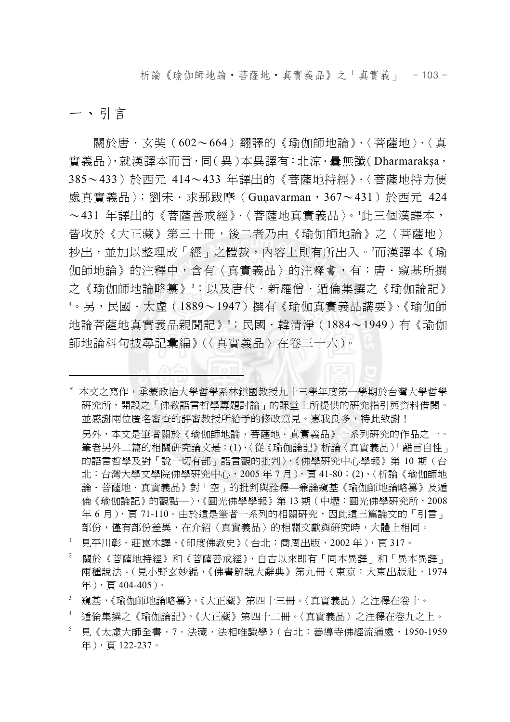析論《瑜伽師地論‧菩薩地‧真實義品》之「真實義」 - 103 -

一、引言

 $\overline{a}$ 

關於唐.玄奘(602~664)翻譯的《瑜伽師地論》.〈菩薩地〉.〈真 實義品〉,就漢譯本而言,同(異)本異譯有:北涼.曇無讖(Dharmarakṣa, 385~433)於西元 414~433 年譯出的《菩薩地持經》.〈菩薩地持方便 處真實義品〉;劉宋.求那跋摩(Guṇavarman,367~431)於西元 424 ~431 年譯出的《菩薩善戒經》.〈菩薩地真實義品〉。<sup>1</sup> 此三個漢譯本, 皆收於《大正藏》第三十冊,後二者乃由《瑜伽師地論》之〈菩薩地〉 抄出,並加以整理成「經」之體裁,內容上則有所出入。?而漢譯本《瑜 伽師地論》的注釋中,含有〈真實義品〉的注釋書,有:唐.窺基所撰 之《瑜伽師地論略纂》<sup>3</sup>;以及唐代·新羅僧·遁倫集撰之《瑜伽論記》 4 。另,民國.太虛(1889~1947)撰有《瑜伽真實義品講要》、《瑜伽師 地論菩薩地真實義品親聞記》,;民國‧韓清淨(1884~1949)有《瑜伽 師地論科句披尋記彙編》(〈真實義品〉在卷三十六)。

- \* 本文之寫作,承蒙政治大學哲學系林鎮國教授九十三學年度第一學期於台灣大學哲學 研究所,開設之「佛教語言哲學專題討論」的課堂上所提供的研究指引與資料借閱。 並感謝兩位匿名審查的評審教授所給予的修改意見。惠我良多,特此致謝! 另外,本文是筆者關於《瑜伽師地論‧菩薩地‧真實義品》一系列研究的作品之一。 筆者另外二篇的相關研究論文是:(1)、〈從《瑜伽論記》析論〈真實義品〉「離言自性」 的語言哲學及對「說一切有部」語言觀的批判〉,《佛學研究中心學報》第 10 期(台 北:台灣大學文學院佛學研究中心,2005 年 7 月),頁 41-80;(2)、〈析論《瑜伽師地 論.菩薩地.真實義品》對「空」的批判與詮釋—兼論窺基《瑜伽師地論略纂》及遁 倫《瑜伽論記》的觀點—〉,《圓光佛學學報》第 13 期(中壢:圓光佛學研究所,2008 年 6 月 ),頁 71-110。由於這是筆者一系列的相關研究,因此這三篇論文的「引言」 部份,僅有部份差異,在介紹〈真實義品〉的相關文獻與研究時,大體上相同。
- 1 見平川彰‧莊崑木譯,《印度佛教史》(台北:商周出版,2002年),頁 317。
- 2 關於《菩薩地持經》和《菩薩善戒經》,自古以來即有「同本異譯」和「異本異譯」 兩種說法。(見小野玄妙編,《佛書解說大辭典》第九冊(東京:大東出版社,1974 年),頁 404-405)。
- 3 窺基,《瑜伽師地論略纂》,《大正藏》第四十三冊。〈真實義品〉之注釋在卷十。
- 4 遁倫集撰之《瑜伽論記》,《大正藏》第四十二冊。〈真實義品〉之注釋在卷九之上。
- 5 見《太虛大師全書.7.法藏.法相唯識學》(台北:善導寺佛經流通處,1950-1959 年),頁 122-237。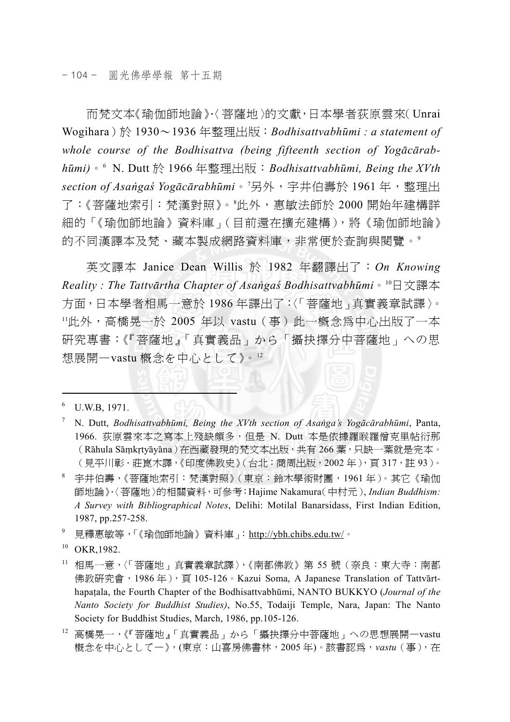而梵文本《瑜伽師地論》.〈菩薩地〉的文獻,日本學者荻原雲來(Unrai Wogihara)於 1930~1936 年整理出版:*Bodhisattvabhūmi : a statement of whole course of the Bodhisattva (being fifteenth section of Yogācārabhūmi)*。<sup>6</sup> N. Dutt 於 1966 年整理出版:*Bodhisattvabhūmi, Being the XVth section of Asaṅgaś Yogācārabhūmi*。<sup>7</sup> 另外,宇井伯壽於 1961 年,整理出 了:《菩薩地索引:梵漢對照》。<sup>8</sup> 此外,惠敏法師於 2000 開始年建構詳 細的「《瑜伽師地論》資料庫」(目前還在擴充建構),將《瑜伽師地論》 的不同漢譯本及梵、藏本製成網路資料庫,非常便於杳詢與閱覽。9

英文譯本 Janice Dean Willis 於 1982 年翻譯出了:*On Knowing Reality : The Tattvārtha Chapter of Asaṅgaś Bodhisattvabhūmi*。10日文譯本 方面,日本學者相馬一意於 1986 年譯出了:〈「菩薩地」真實義章試譯〉。 <sup>11</sup>此外,高橋晃一於 2005 年以 vastu(事)此一概念為中心出版了一本 研究專書:《『菩薩地』「真實義品」から「攝抉擇分中菩薩地」への思 想展開—vastu 概念を中心として》。<sup>12</sup>

 $\overline{a}$ 

- 7 N. Dutt, *Bodhisattvabhūmi, Being the XVth section of Asaṅga's Yogācārabhūmi*, Panta, 1966. 荻原雲來本之寫本上殘缺頗多,但是 N. Dutt 本是依據羅睺羅僧克里帖衍那 (Rāhula Sāṃkṛtyāyāna)在西藏發現的梵文本出版,共有 266 葉,只缺一葉就是完本。 (見平川彰.莊崑木譯,《印度佛教史》(台北:商周出版,2002 年),頁 317,註 93)。
- 8 宇井伯壽,《菩薩地索引:梵漢對照》(東京:鈴木學術財團,1961 年)。其它《瑜伽 師地論》.〈菩薩地〉的相關資料,可參考:Hajime Nakamura(中村元), *Indian Buddhism: A Survey with Bibliographical Notes*, Delihi: Motilal Banarsidass, First Indian Edition, 1987, pp.257-258.

<sup>9</sup> 見釋惠敏等,「《瑜伽師地論》資料庫 」:htt<u>p://ybh.chibs.edu.tw/</u>。

- 11 相馬一意,〈「菩薩地」真實義章試譯〉,《南都佛教》第 55 號(奈良:東大寺:南都 佛教研究會, 1986年), 頁 105-126。Kazui Soma, A Japanese Translation of Tattvārthapaṭala, the Fourth Chapter of the Bodhisattvabhūmi, NANTO BUKKYO (*Journal of the Nanto Society for Buddhist Studies)*, No.55, Todaiji Temple, Nara, Japan: The Nanto Society for Buddhist Studies, March, 1986, pp.105-126.
- <sup>12</sup> 高橋晃一,《『菩薩地』「真實義品」から「攝抉擇分中菩薩地」への思想展開一vastu 概念を中心として—》,(東京:山喜房佛書林,2005 年)。該書認為,*vastu*(事),在

<sup>&</sup>lt;sup>6</sup> U.W.B, 1971.

<sup>&</sup>lt;sup>10</sup> OKR, 1982.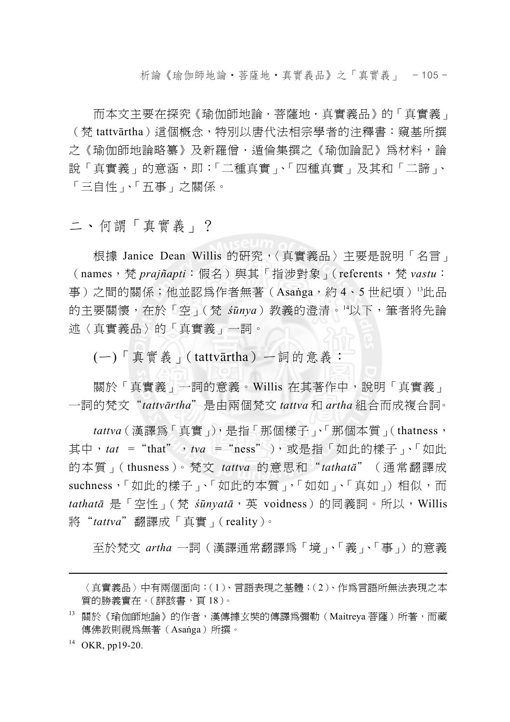析論《瑜伽師地論‧菩薩地‧真實義品》之「真實義」 - 105 -

而本文主要在探究《瑜伽師地論·菩薩地·真實義品》的「真實義」 (梵 tattvārtha)這個概念,特別以唐代法相宗學者的注釋書:窺基所撰 之《瑜伽師地論略簒》及新羅僧‧遁倫集撰之《瑜伽論記》為材料,論 說「真實義」的意涵,即:「二種真實」、「四種真實」及其和「二諦」、 「三自性」、「五事」之關係。

二、何謂「真實義」?

根據 Janice Dean Willis 的研究,〈真實義品〉主要是說明「名言」 (names,梵 *prajñapti*:假名)與其「指涉對象」(referents,梵 *vastu*: 事)之間的關係;他並認為作者無著(Asanga,約 4、5 世紀頃)<sup>13</sup>此品 的主要關懷,在於「空」(梵 *śūnya*)教義的澄清。14以下,筆者將先論 述〈真實義品〉的「真實義」一詞。

(一)「真實義」(tattvārtha)一詞的意義:

關於「真實義」一詞的意義。Willis 在其著作中,說明「真實義」 一詞的梵文"*tattvārtha*"是由兩個梵文 *tattva* 和 *artha* 組合而成複合詞。

*tattva*(漢譯為「真實」),是指「那個樣子」、「那個本質」(thatness, 其中, tat = "that", tva = "ness"),或是指「如此的樣子」、「如此 的本質」(thusness)。梵文 *tattva* 的意思和"*tathatā*"(通常翻譯成 suchness<sup>,「</sup>如此的樣子」、「如此的本質」,「如如」、「真如」)相似,而 *tathatā* 是「空性」(梵 *śūnyatā*,英 voidness)的同義詞。所以,Willis 將"*tattva*"翻譯成「真實」(reality)。

至於梵文 *artha* 一詞(漢譯通常翻譯為「境」、「義」、「事」)的意義

<sup>〈</sup>真實義品〉中有兩個面向:(1)、言語表現之基體;(2)、作為言語所無法表現之本 質的勝義實在。(詳該書,頁 18)。

<sup>13</sup> 關於《瑜伽師地論》的作者,漢傳據玄奘的傳譯爲彌勒(Maitreya 菩薩)所著,而藏 傳佛教則視為無著(Asaṅga)所撰。

 $14$  OKR, pp19-20.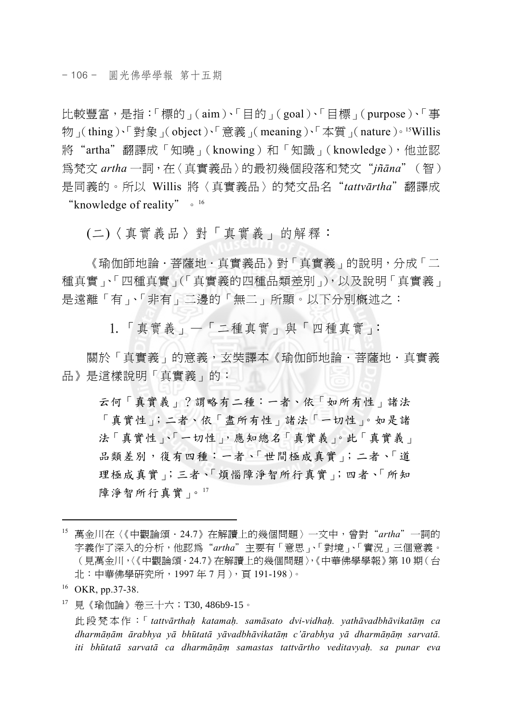比較豐富,是指:「標的」(aim)、「目的」(goal)、「目標」(purpose)、「事 物」(thing)、「對象」(object)、「意義」(meaning)、「本質」(nature)。15Willis 將"artha"翻譯成「知曉」(knowing)和「知識」(knowledge),他並認 為梵文 *artha* 一詞,在〈真實義品〉的最初幾個段落和梵文"*jñāna*"(智) 是同義的。所以 Willis 將〈真實義品〉的梵文品名"*tattvārtha*"翻譯成 "knowledge of reality"。<sup>16</sup>

(二)〈真實義品〉對「真實義」的解釋:

《瑜伽師地論·菩薩地·真實義品》對「真實義」的說明,分成「二 種真實」、「四種真實」(「真實義的四種品類差別」),以及說明「真實義」 是遠離「有」、「非有」二邊的「無二」所顯。以下分別概述之:

1.「真實義」—「二種真實」與「四種真實」:

關於「真實義」的意義, 女奘譯本《瑜伽師地論·菩薩地·真實義 品》是這樣說明「真實義」的:

云何「真實義」?謂略有二種:一者、依「如所有性」諸法 「真實性」;二者、依「盡所有性」諸法「一切性」。如是諸 法「真實性」、「一切性」,應知總名「真實義」。此「真實義」 品類差別,復有四種:一者、「世間極成真實」;二者、「道 理極成真實」;三者、「煩惱障淨智所行真實」;四者、「所知 障淨智所行真實」。17

 $\overline{a}$ 

17 見《瑜伽論》卷三十六;T30, 486b9-15。

 此段梵本作:「 *tattvārthaḥ katamaḥ. samāsato dvi-vidhaḥ. yathāvadbhāvikatāṃ ca*  dharmānām ārabhya yā bhūtatā yāvadbhāvikatām c'ārabhya yā dharmānām sarvatā. *iti bhūtatā sarvatā ca dharmāṇāṃ samastas tattvārtho veditavyaḥ. sa punar eva* 

<sup>15</sup> 萬金川在〈《中觀論頌.24.7》在解讀上的幾個問題〉一文中,曾對"*artha*"一詞的 字義作了深入的分析,他認為"*artha*"主要有「意思」、「對境」、「實況」三個意義。 (見萬金川,〈《中觀論頌.24.7》在解讀上的幾個問題〉,《中華佛學學報》第 10 期(台 北:中華佛學研究所,1997 年 7 月),頁 191-198)。

<sup>&</sup>lt;sup>16</sup> OKR, pp.37-38.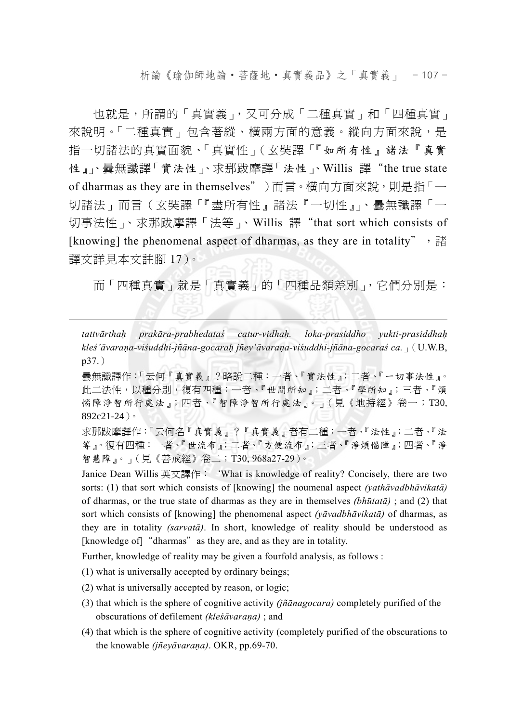析論《瑜伽師地論‧菩薩地‧真實義品》之「真實義」 - 107 -

也就是,所謂的「真實義」,又可分成「二種真實」和「四種真實」 來說明。「二種真實」句含著縱、橫兩方面的意義。縱向方面來說,是 指一切諸法的真實面貌、「真實性」(玄奘譯「『如所有性』諸法『真實 性』」、曇無讖譯「實法性」、求那跋摩譯「法性」、Willis 譯"the true state of dharmas as they are in themselves")而言。橫向方面來說,則是指「一 切諸法」而言(玄奘譯「『盡所有性』諸法『一切性』」、曇無讖譯「一 切事法性」、求那跋摩譯「法等」、Willis 譯"that sort which consists of [knowing] the phenomenal aspect of dharmas, as they are in totality", 諸 譯文詳見本文註腳 17)。

而「四種真實」就是「真實義」的「四種品類差別」,它們分別是:

*tattvārthaḥ prakāra-prabhedataś catur-vidhaḥ. loka-prasiddho yukti-prasiddhaḥ* kleś'āvarana-viśuddhi-jñāna-gocarah jñey'āvarana-viśuddhi-jñāna-gocaraś ca. (U.W.B, p37.)

 曇無讖譯作:「云何『真實義』?略說二種:一者、『實法性』;二者、『一切事法性』。 此二法性,以種分別,復有四種:一者、『世間所知』;二者、『學所知』;三者、『煩 惱障淨智所行處法』;四者、『智障淨智所行處法』。」(見《地持經》卷一;T30, 892c21-24)。

 求那跋摩譯作:「云何名『真實義』?『真實義』者有二種:一者、『法性』;二者、『法 等』。復有四種:一者、『世流布』;二者、『方便流布』;三者、『淨煩惱障』;四者、『淨 智慧障』。」(見《善戒經》卷二;T30, 968a27-29)。

 Janice Dean Willis 英文譯作:'What is knowledge of reality? Concisely, there are two sorts: (1) that sort which consists of [knowing] the noumenal aspect *(yathāvadbhāvikatā)* of dharmas, or the true state of dharmas as they are in themselves *(bhūtatā)* ; and (2) that sort which consists of [knowing] the phenomenal aspect *(yāvadbhāvikatā)* of dharmas, as they are in totality *(sarvatā)*. In short, knowledge of reality should be understood as [knowledge of] "dharmas" as they are, and as they are in totality.

Further, knowledge of reality may be given a fourfold analysis, as follows :

(1) what is universally accepted by ordinary beings;

- (2) what is universally accepted by reason, or logic;
- (3) that which is the sphere of cognitive activity *(jñānagocara)* completely purified of the obscurations of defilement *(kleśāvaraṇa)* ; and
- (4) that which is the sphere of cognitive activity (completely purified of the obscurations to the knowable *(jñeyāvaraṇa)*. OKR, pp.69-70.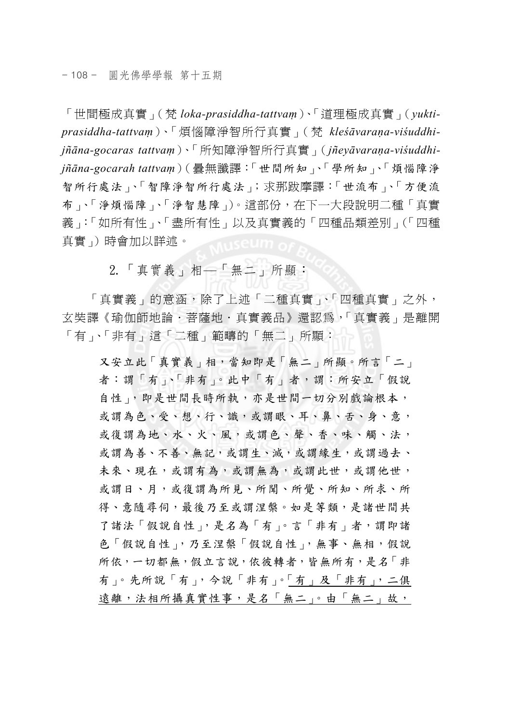「世間極成真實」(梵 *loka-prasiddha-tattvaṃ*)、「道理極成真實」(*yuktiprasiddha-tattvaṃ*)、「煩惱障淨智所行真實」(梵 *kleśāvaraṇa-viśuddhijñāna-gocaras tattvaṃ*)、「所知障淨智所行真實」(*jñeyāvaraṇa-viśuddhijñāna-gocarah tattvaṃ*)(曇無讖譯:「世間所知」、「學所知」、「煩惱障淨 智所行處法」、「智障淨智所行處法」;求那跋摩譯:「世流布」、「方便流 布」、「淨煩惱障」、「淨智慧障」)。這部份,在下一大段說明二種「真實 義」:「如所有性」、「盡所有性」以及真實義的「四種品類差別」(「四種 真實」)時會加以詳述。

2.「真實義」相—「無二」所顯:

「真實義」的意涵,除了上述「二種真實」、「四種真實」之外, 玄奘譯《瑜伽師地論.菩薩地.真實義品》還認為,「真實義」是離開 「有」、「非有」這「二種」範疇的「無二」所顯:

又安立此「真實義」相,當知即是「無二」所顯。所言「二」 者:謂「有」、「非有」。此中「有」者,謂:所安立「假說 自性」,即是世間長時所執,亦是世間一切分別戲論根本, 或謂為色、受、想、行、識,或謂眼、耳、鼻、舌、身、意, 或復謂為地、水、火、風,或謂色、聲、香、味、觸、法, 或謂為善、不善、無記,或謂生、滅,或謂緣生,或謂過去、 未來、現在,或謂有為,或謂無為,或謂此世,或謂他世, 或謂日、月,或復謂為所見、所聞、所覺、所知、所求、所 得、意隨尋伺,最後乃至或謂涅槃。如是等類,是諸世間共 了諸法「假說自性」,是名為「有」。言「非有」者,謂即諸 色「假說自性」,乃至涅槃「假說自性」,無事、無相,假說 所依,一切都無,假立言說,依彼轉者,皆無所有,是名「非 有」。先所說「有」,今說「非有」。「有」及「非有」,二俱 遠離,法相所攝真實性事,是名「無二」。由「無二」故,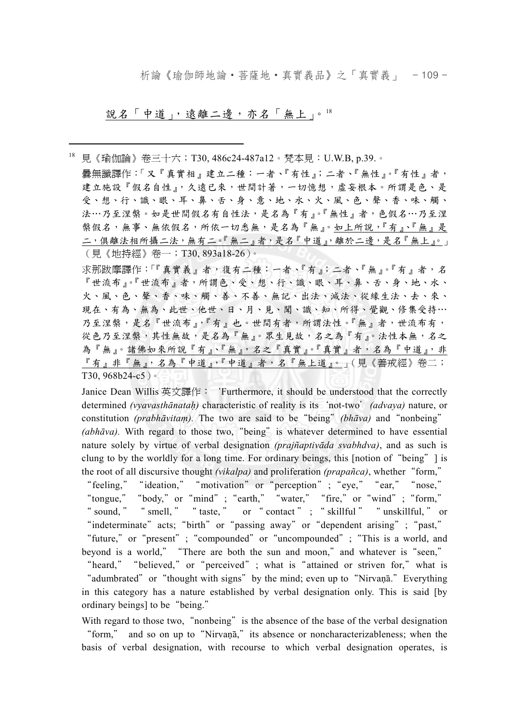析論《瑜伽師地論‧菩薩地‧真實義品》之「真實義」 - 109 -

說名「中道」,遠離二邊,亦名「無上」。18

18 見《瑜伽論》卷三十六;T30, 486c24-487a12。梵本見:U.W.B, p.39.。

 曇無讖譯作:「又『真實相』建立二種:一者、『有性』;二者、『無性』。『有性』者, 建立施設『假名自性』,久遠已來,世間計著,一切憶想,虛妄根本。所謂是色、是 受、想、行、識、眼、耳、鼻、舌、身、意、地、水、火、風、色、聲、香、味、觸、 法…乃至涅槃。如是世間假名有自性法,是名為『有』。『無性』者,色假名…乃至涅 槃假名,無事、無依假名,所依一切悉無,是名為『無』。如上所說,『有』、『無』是 二,俱離法相所攝二法,無有二。『無二』者,是名『中道』,離於二邊,是名『無上』。 (見《地持經》卷一;T30, 893a18-26)。

 $\overline{a}$ 

求那跋摩譯作:「『真實義』者,復有二種:一者、『有』;二者、『無』。『有』者,名 『世流布』。『世流布』者,所謂色、受、想、行、識、眼、耳、鼻、舌、身、地、水、 火、風、色、聲、香、味、觸、善、不善、無記、出法、滅法、從緣生法、去、來、 現在、有為、無為、此世、他世、日、月、見、聞、識、知、所得、覺觀、修集受持… 乃至涅槃,是名『世流布』,『有』也。世間有者,所謂法性。『無』者,世流布有, 從色乃至涅槃,其性無故,是名為『無』。眾生見故,名之為『有』。法性本無,名之 為『無』。諸佛如來所說『有』、『無』,名之『真實』。『真實』者,名為『中道』,非 『有』非『無』,名為『中道』,『中道』者,名『無上道』。」(見《善戒經》卷二; T30, 968b24-c5)。

 Janice Dean Willis 英文譯作:'Furthermore, it should be understood that the correctly determined *(vyavasthānataḥ)* characteristic of reality is its'not-two'*(advaya)* nature, or constitution *(prabhāvitaṃ).* The two are said to be"being"*(bhāva)* and"nonbeing" (abh*āva*). With regard to those two, "being" is whatever determined to have essential nature solely by virtue of verbal designation *(prajñaptivāda svabhdva)*, and as such is clung to by the worldly for a long time. For ordinary beings, this [notion of"being"] is the root of all discursive thought *(vikalpa)* and proliferation *(prapañca)*, whether"form,"

"feeling," "ideation," "motivation" or "perception"; "eye," "ear," "nose," "tongue," "body," or "mind"; "earth," "water," "fire," or "wind"; "form," " sound, " " smell, " " taste, " or " contact" ; " skillful " " unskillful, " or "indeterminate" acts; "birth" or "passing away" or "dependent arising"; "past," "future," or "present"; "compounded" or "uncompounded"; "This is a world, and beyond is a world,""There are both the sun and moon,"and whatever is"seen,"

"heard," "believed," or "perceived"; what is "attained or striven for," what is "adumbrated" or "thought with signs" by the mind; even up to "Nirvana". Everything in this category has a nature established by verbal designation only. This is said [by ordinary beings] to be"being."

With regard to those two, "nonbeing" is the absence of the base of the verbal designation "form," and so on up to "Nirvanā," its absence or noncharacterizableness; when the basis of verbal designation, with recourse to which verbal designation operates, is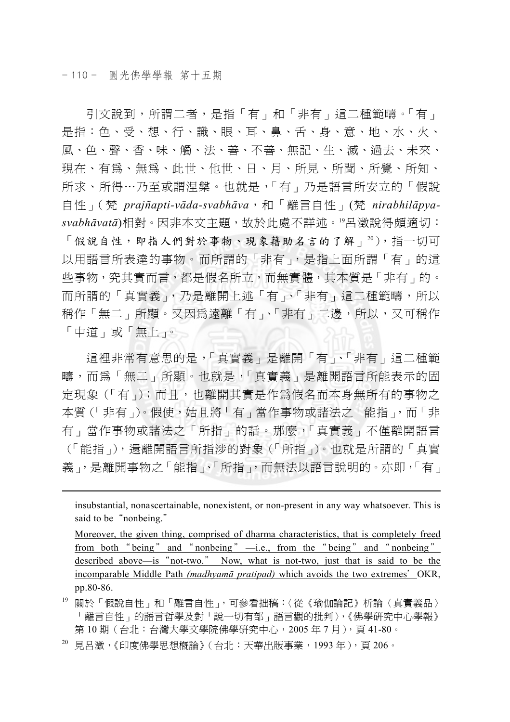$\overline{a}$ 

引文說到,所謂二者,是指「有」和「非有」這二種範疇。「有」 是指:色、受、想、行、識、眼、耳、鼻、舌、身、意、地、水、火、 風、色、聲、香、味、觸、法、善、不善、無記、生、滅、過去、未來、 現在、有為、無為、此世、他世、日、月、所見、所聞、所覺、所知、 所求、所得…乃至或謂涅槃。也就是,「有」乃是語言所安立的「假說 自性」(梵 *prajñapti-vāda-svabhāva*,和「離言自性」(梵 *nirabhilāpyasvabhāvatā*)相對。因非本文主題,故於此處不詳述。19呂澂說得頗適切: 「假說自性,即指人們對於事物、現象藉助名言的了解」20),指一切可 以用語言所表達的事物。而所謂的「非有」,是指上面所謂「有」的這 些事物,究其實而言,都是假名所立,而無實體,其本質是「非有」的。 而所謂的「真實義」,乃是離開上述「有」、「非有」這二種範疇,所以 稱作「無二」所顯。又因為遠離「有」、「非有」二邊,所以,又可稱作 「中道」或「無上」。

這裡非常有意思的是,「真實義」是離開「有」、「非有」這二種範 疇,而為「無二」所顯。也就是,「真實義」是離開語言所能表示的固 定現象(「有」);而且,也離開其實是作為假名而本身無所有的事物之 本質(「非有」)。假使,姑且將「有」當作事物或諸法之「能指」,而「非 有」當作事物或諸法之「所指」的話。那麼,「真實義」不僅離開語言 (「能指」),還離開語言所指涉的對象(「所指」)。也就是所謂的「真實 義」,是離開事物之「能指」、「所指」,而無法以語言說明的。亦即,「有」

insubstantial, nonascertainable, nonexistent, or non-present in any way whatsoever. This is said to be "nonbeing."

 Moreover, the given thing, comprised of dharma characteristics, that is completely freed from both " being" and " nonbeing"  $\rightarrow$  i.e., from the " being" and " nonbeing" described above—is"not-two." Now, what is not-two, just that is said to be the incomparable Middle Path *(madhyamā pratipad)* which avoids the two extremes'OKR, pp.80-86.

19 關於「假說自性」和「離言自性」,可參看拙稿:〈從《瑜伽論記》析論〈真實義品〉 「離言自性」的語言哲學及對「說一切有部」語言觀的批判〉,《佛學研究中心學報》 第 10 期(台北:台灣大學文學院佛學研究中心,2005 年 7 月),頁 41-80。

20 見呂澂,《印度佛學思想概論》(台北:天華出版事業,1993 年),頁 206。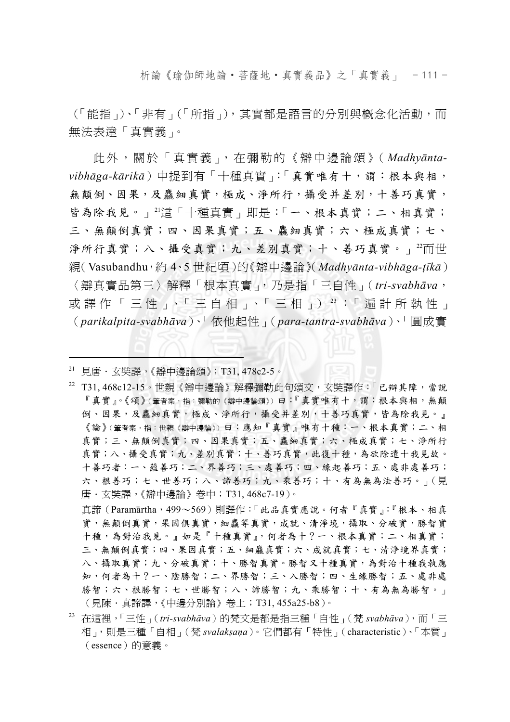析論《瑜伽師地論‧菩薩地‧真實義品》之「真實義」 - 111 -

(「能指」)、「非有」(「所指」),其實都是語言的分別與概念化活動,而 無法表達「真實義」。

此外,關於「真實義」,在彌勒的《辯中邊論頌》(*Madhyāntavibhāga-kārikā*)中提到有「十種真實」:「真實唯有十,謂:根本與相, 無顛倒、因果,及麤細真實,極成、淨所行,攝受并差別,十善巧真實, 皆為除我見。」2這「十種真實」即是:「一、根本真實;二、相真實; 三、無顛倒真實;四、因果真實;五、麤細真實;六、極成真實;七、 淨所行真實;八、攝受真實;九、差別真實;十、善巧真實。」22而世 親(Vasubandhu,約 4、5 世紀頃)的《辯中邊論》(*Madhyānta-vibhāga-ṭīkā*) 〈辯真實品第三〉解釋「根本真實」,乃是指「三自性」(*tri-svabhāva*, 或譯作「三性」、「三自相」、「三相」) 23:「遍計所執性」 (*parikalpita-svabhāva*)、「依他起性」(*para-tantra-svabhāva*)、「圓成實

21 見唐.玄奘譯,《辯中邊論頌》;T31, 478c2-5。

 $\overline{a}$ 

22 T31, 468c12-15。世親《辯中邊論》解釋彌勒此句頌文,玄奘譯作:「已辯其障,當說 『真實』。《頌》(筆者案,指:彌勒的《辯中邊論頌》)曰:『真實唯有十,謂:根本與相,無顛 倒、因果,及麤細真實,極成、淨所行,攝受并差別,十善巧真實,皆為除我見。』 《論》(筆者案,指:世親《辯中邊論》)曰:應知『真實』唯有十種:一、根本真實;二、相 真實;三、無顛倒真實;四、因果真實;五、麤細真實;六、極成真實;七、淨所行 真實;八、攝受真實;九、差別真實;十、善巧真實,此復十種,為欲除遣十我見故。 十善巧者:一、蘊善巧;二、界善巧;三、處善巧;四、緣起善巧;五、處非處善巧; 六、根善巧;七、世善巧;八、諦善巧;九、乘善巧;十、有為無為法善巧。」(見 唐.玄奘譯,《辯中邊論》卷中;T31, 468c7-19)。

真諦(Paramārtha,499~569)則譯作:「此品真實應說。何者『真實』:『根本、相真 實,無顛倒真實,果因俱真實,細麤等真實,成就、清淨境,攝取、分破實,勝智實 十種,為對治我見。』如是『十種真實』,何者為十?一、根本真實;二、相真實; 三、無顛倒真實;四、果因真實;五、細麤真實;六、成就真實;七、清淨境界真實; 八、攝取真實;九、分破真實;十、勝智真實。勝智又十種真實,為對治十種我執應 知,何者為十?一、陰勝智;二、界勝智;三、入勝智;四、生緣勝智;五、處非處 勝智;六、根勝智;七、世勝智;八、諦勝智;九、乘勝智;十、有為無為勝智。」 (見陳.真諦譯,《中邊分別論》卷上;T31, 455a25-b8)。

23 在這裡,「三性」(*tri-svabhāva*)的梵文是都是指三種「自性」(梵 *svabhāva*),而「三 相」,則是三種「自相」(梵 *svalakṣaṇa*)。它們都有「特性」(characteristic)、「本質」 (essence)的意義。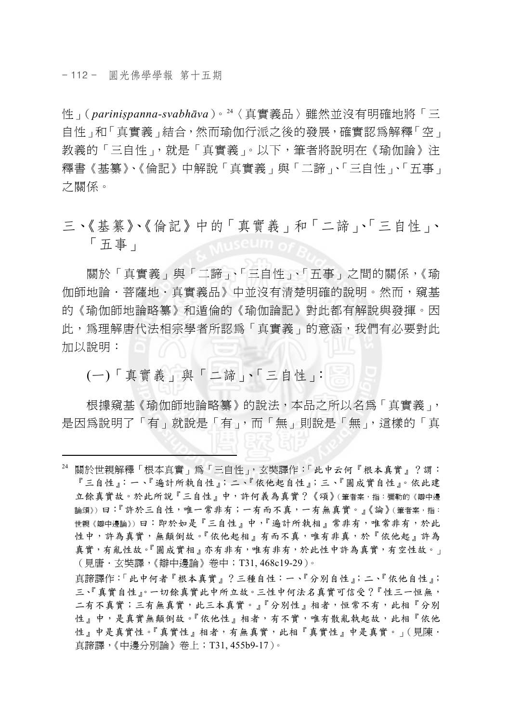$\overline{a}$ 

性」(*pariniṣpanna-svabhāva*)。24〈真實義品〉雖然並沒有明確地將「三 自性」和「真實義」結合,然而瑜伽行派之後的發展,確實認為解釋「空」 教義的「三自性」,就是「真實義」。以下,筆者將說明在《瑜伽論》注 釋書《基纂》、《倫記》中解說「真實義」與「二諦」、「三自性」、「五事」 之關係。

三、《基纂》、《倫記》中的「真實義」和「二諦」、「三自性」、 「五事」

關於「真實義」與「二諦」、「三自性」、「五事」之間的關係,《瑜 伽師地論‧菩薩地‧真實義品》中並沒有清楚明確的說明。然而,窺基 的《瑜伽師地論略纂》和遁倫的《瑜伽論記》對此都有解說與發揮。因 此,為理解唐代法相宗學者所認為「真實義」的意涵,我們有必要對此 加以說明:

(一)「真實義」與「二諦」、「三自性」:

根據窺基《瑜伽師地論略纂》的說法,本品之所以名為「真實義」, 是因為說明了「有」就說是「有」,而「無」則說是「無」,這樣的「真

真諦譯作:「此中何者『根本真實』?三種自性:一、『分別自性』;二、『依他自性』; 三、『真實自性』。一切餘真實此中所立故。三性中何法名真實可信受?『性三一恒無, 二有不真實;三有無真實,此三本真實。』『分別性』相者,恒常不有,此相『分別 性。中,是真實無顛倒故。『依他性』相者,有不實,唯有散亂執起故,此相『依他 性』中是真實性。『真實性』相者,有無真實,此相『真實性』中是真實。」(見陳· 真諦譯,《中邊分別論》卷上;T31, 455b9-17)。

<sup>24</sup> 關於世親解釋「根本真實」為「三自性」,玄奘譯作:「此中云何『根本真實』?謂: 『三自性』:一、『遍計所執自性』;二、『依他起自性』;三、『圓成實自性』。依此建 立餘真實故。於此所說『三自性』中,許何義為真實?《頌》(筆者案,指:彌勒的《辯中邊 論頌》)曰:『許於三自性,唯一常非有;一有而不真,一有無真實。』《論》(筆者案,指: 世親《辯中邊論》)曰:即於如是『三自性』中,『遍計所執相』常非有,唯常非有,於此 性中,許為真實,無顛倒故。『依他起相』有而不真,唯有非真,於『依他起』許為 真實,有亂性故。『圓成實相』亦有非有,唯有非有,於此性中許為真實,有空性故。」 (見唐.玄奘譯,《辯中邊論》卷中;T31, 468c19-29)。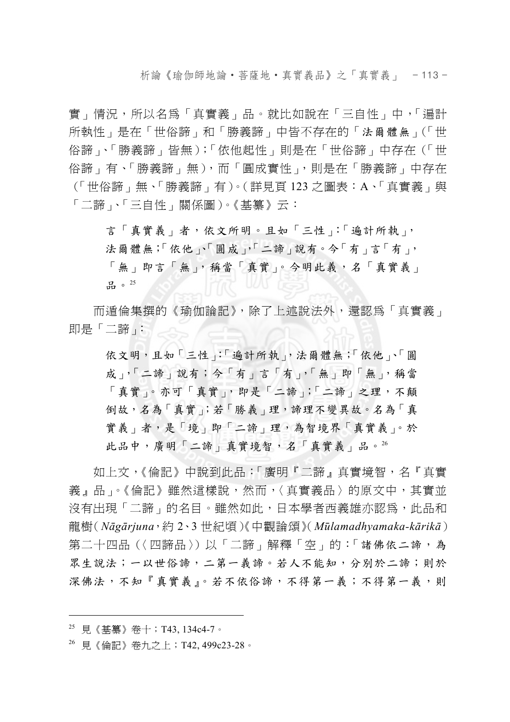析論《瑜伽師地論‧菩薩地‧真實義品》之「真實義」 - 113 -

實」情況,所以名為「真實義」品。就比如說在「三自性」中,「遍計 所執性」是在「世俗諦」和「勝義諦」中皆不存在的「法爾體無」(「世 俗諦」、「勝義諦」皆無);「依他起性」則是在「世俗諦」中存在(「世 俗諦」有、「勝義諦」無),而「圓成實性」,則是在「勝義諦」中存在 (「世俗諦」無、「勝義諦」有)。(詳見頁 123 之圖表:A、「真實義」與 「二諦」、「三自性」關係圖)。《基纂》云:

言「真實義」者,依文所明。且如「三性」:「遍計所執」, 法爾體無;「依他」、「圓成」,「二諦」說有。今「有」言「有」, 「無」即言「無」,稱當「真實」。今明此義,名「真實義」 品。25

而遁倫集撰的《瑜伽論記》,除了上述說法外,還認為「真實義」 即是「二諦」:

依文明,且如「三性」:「遍計所執」,法爾體無;「依他」、「圓 成」,「二諦」說有;今「有」言「有」,「無」即「無」,稱當 「真實」。亦可「真實」,即是「二諦」;「二諦」之理,不顛 倒故,名為「真實」;若「勝義」理,諦理不變異故。名為「真 實義」者,是「境」即「二諦」理,為智境界「真實義」。於 此品中,廣明「二諦」真實境智,名「真實義」品。<sup>26</sup>

如上文,《倫記》中說到此品:「廣明『二諦』真實境智,名『真實 義』品」。《倫記》雖然這樣說,然而,〈真實義品〉的原文中,其實並 沒有出現「二諦」的名目。雖然如此,日本學者西義雄亦認爲,此品和 龍樹(*Nāgārjuna*,約 2、3 世紀頃)《中觀論頌》(*Mūlamadhyamaka-kārikā*) 第二十四品(〈四諦品〉)以「二諦」解釋「空」的:「諸佛依二諦,為 眾生說法;一以世俗諦,二第一義諦。若人不能知,分別於二諦;則於 深佛法,不知『真實義』。若不依俗諦,不得第一義;不得第一義,則

<sup>25</sup> 見《基纂》卷十;T43, 134c4-7。

<sup>26</sup> 見《倫記》卷九之上;T42, 499c23-28。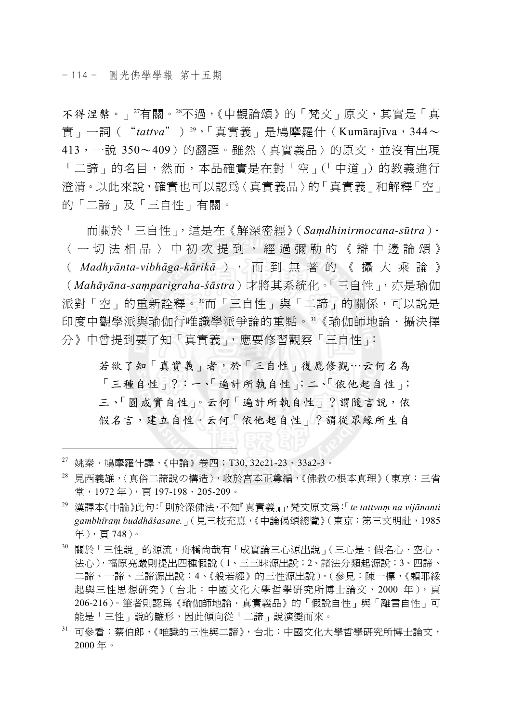不得涅槃。」27有關。28不過,《中觀論頌》的「梵文」原文,其實是「真 實」一詞("*tattva*")29,「真實義」是鳩摩羅什(Kumārajīva,344~ 413,一說 350~409)的翻譯。雖然〈真實義品〉的原文,並沒有出現 「二諦」的名目,然而,本品確實是在對「空」(「中道」)的教義進行 澄清。以此來說,確實也可以認為〈真實義品〉的「真實義」和解釋「空」 的「二諦」及「三自性」有關。

而關於「三自性」,這是在《解深密經》(*Saṃdhinirmocana-sūtra*). 〈一切法相品〉中初次提到,經過彌勒的《辯中邊論頌》 ( *Madhyānta-vibhāga-kārikā* ), 而 到 無 著 的 《 攝 大 乘 論 》 (*Mahāyāna-saṃparigraha-śāstra*)才將其系統化。「三自性」,亦是瑜伽 派對「空」的重新詮釋。3而「三自性」與「二諦」的關係,可以說是 印度中觀學派與瑜伽行唯識學派爭論的重點。31《瑜伽師地論·攝決擇 分》中曾提到要了知「真實義」,應要修習觀察「三自性」:

若欲了知「真實義」者,於「三自性」復應修觀…云何名為 「三種自性」?:一、「遍計所執自性」;二、「依他起自性」; 三、「圓成實自性」。云何「遍計所執自性」?謂隨言說,依 假名言,建立自性。云何「依他起自性」?謂從眾緣所生自

 $27$  姚秦 · 鳩摩羅什譯,《中論》卷四;T30, 32c21-23、33a2-3。

- 28 見西義雄,〈真俗二諦說の構造〉,收於宮本正尊編,《佛教の根本真理》(東京:三省 堂,1972 年),頁 197-198、205-209。
- 29 漢譯本《中論》此句:「則於深佛法,不知『真實義』」,梵文原文為:「*te tattvaṃ na vijānanti gambhīraṃ buddhāśasane.*」(見三枝充惪,《中論偈頌總覽》(東京:第三文明社,1985 年),頁 748)。
- 30 關於「三性說」的源流,舟橋尚哉有「成實論三心源出說」(三心是:假名心、空心、 法心),福原亮嚴則提出四種假說(1、三三昧源出說;2、諸法分類起源說;3、四諦、 二諦、一諦、三諦源出說:4、《般若經》的三性源出說)。(參見:陳一標,《賴耶緣 起與三性思想研究》(台北:中國文化大學哲學研究所博士論文,2000 年),頁 206-216)。筆者則認為《瑜伽師地論.真實義品》的「假說自性」與「離言自性」可 能是「三性」說的雛形,因此傾向從「二諦」說演變而來。
- 31 可參看:蔡伯郎,《唯識的三性與二諦》,台北:中國文化大學哲學研究所博士論文, 2000 年。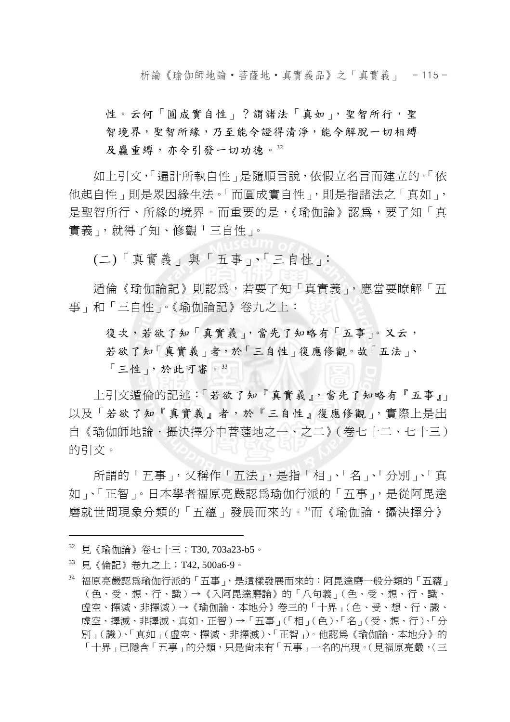析論《瑜伽師地論‧菩薩地‧真實義品》之「真實義」 - 115 -

性。云何「圓成實自性」?謂諸法「真如」, 聖智所行, 聖 智境界,聖智所緣,乃至能令證得清淨,能令解脫一切相縛 及麤重縛,亦令引發一切功德。32

如上引文,「遍計所執自性」是隨順言說,依假立名言而建立的。「依 他起自性」則是眾因緣生法。「而圓成實自性」,則是指諸法之「真如」, 是聖智所行、所緣的境界。而重要的是,《瑜伽論》認為,要了知「真 實義」,就得了知、修觀「三自性」。

(二)「真實義」與「五事」、「三自性」:

遁倫《瑜伽論記》則認為,若要了知「真實義」,應當要瞭解「五 事」和「三自性」。《瑜伽論記》卷九之上:

復次,若欲了知「真實義」,當先了知略有「五事」。又云, 若欲了知「真實義」者,於「三自性」復應修觀。故「五法」、 「三性」,於此可審。<sup>33</sup>

上引文遁倫的記述:「若欲了知『真實義』,當先了知略有『五事』」 以及「若欲了知『真實義』者,於『三自性』復應修觀」,實際上是出 自《瑜伽師地論‧攝決擇分中菩薩地之一、之二》(卷七十二、七十三) 的引文。

所謂的「五事」,又稱作「五法」,是指「相」、「名」、「分別」、「真 如」、「正智」。日本學者福原亮嚴認為瑜伽行派的「五事」,是從阿毘達 磨就世間現象分類的「五蘊」發展而來的。34而《瑜伽論·攝決擇分》

<sup>32</sup> 見《瑜伽論》卷七十三;T30, 703a23-b5。

<sup>33</sup> 見《倫記》卷九之上;T42, 500a6-9。

<sup>34</sup> 福原亮嚴認為瑜伽行派的「五事」,是這樣發展而來的:阿毘達磨一般分類的「五蘊」 (色、受、想、行、識)→《入阿毘達磨論》的「八句義」(色、受、想、行、識、 虛空、擇滅、非擇滅)→《瑜伽論.本地分》卷三的「十界」(色、受、想、行、識、 虛空、擇滅、非擇滅、真如、正智)→「五事」(「相」(色)、「名」(受、想、行)、「分 別」(識)、「真如」(虛空、擇滅、非擇滅)、「正智」)。他認為《瑜伽論‧本地分》的 「十界」已隱含「五事」的分類,只是尙未有「五事」一名的出現。(見福原亮嚴,〈三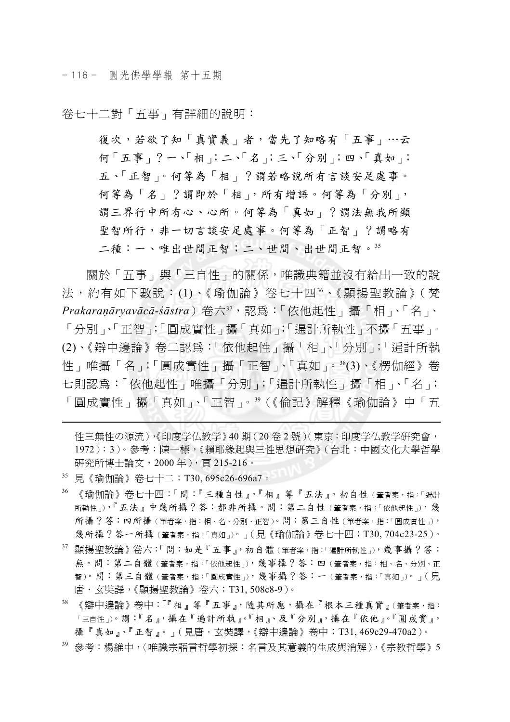- 116 - 圓光佛學學報 第十五期

卷七十二對「五事」有詳細的說明:

復次,若欲了知「真實義」者,當先了知略有「五事」…云 何「五事」?一、「相」;二、「名」;三、「分別」;四、「真如」; 五、「正智」。何等為「相」?謂若略說所有言談安足處事。 何等為「名」?謂即於「相」,所有增語。何等為「分別」, 謂三界行中所有心、心所。何等為「真如」?謂法無我所顯 聖智所行,非一切言談安足處事。何等為「正智」?謂略有 二種:一、唯出世間正智;二、世間、出世間正智。35

關於「五事」與「三自性」的關係,唯識典籍並沒有給出一致的說 法,約有如下數說: (1)、《瑜伽論》卷七十四36、《顯揚聖教論》(梵 *Prakaraṇāryavācā-śāstra*)卷六37,認為:「依他起性」攝「相」、「名」、 「分別」、「正智」;「圓成實性」攝「真如」;「遍計所執性」不攝「五事」。 (2)、《辯中邊論》卷二認為:「依他起性」攝「相」、「分別」;「遍計所執 性」唯攝「名」;「圓成實性」攝「正智」、「真如」。38(3)、《楞伽經》卷 七則認為:「依他起性」唯攝「分別」;「遍計所執性」攝「相」、「名」; 「圓成實性」攝「真如」、「正智」。39(《倫記》解釋《瑜伽論》中「五

性三無性の源流〉,《印度学仏教学》40 期(20 卷 2 號)(東京:印度学仏教学研究會, 1972):3)。參考:陳一標,《賴耶緣起與三性思想研究》(台北:中國文化大學哲學 研究所博士論文,2000 年),頁 215-216。

35 見《瑜伽論》卷七十二;T30, 695c26-696a7。

- 36 《瑜伽論》卷七十四:「問:『三種自性』,『相』等『五法』。初自性(筆者案,指:「遍計 所執性」),『五法』中幾所攝?答:都非所攝。問:第二自性(筆者案,指:「依他起性」),幾 所攝?答:四所攝(筆者案,指:相、名、分別、正智)。問:第三自性(筆者案,指:「圓成實性」), 幾所攝?答一所攝(筆者案,指:「真如」)。」(見《瑜伽論》卷七十四;T30, 704c23-25)。
- 37 顯揚聖教論》卷六:「問:如是『五事』,初自體(筆者案,指:「遍計所執性」),幾事攝?答: 無。問:第二自體 (筆者案,指:「依他起性」),幾事攝?答:四 (筆者案,指:相、名、分別、正 智)。問:第三自體(筆者案,指:「圓成實性」),幾事攝?答:一(筆者案,指:「真如」)。」(見 唐.玄奘譯,《顯揚聖教論》卷六;T31, 508c8-9)。
- 38 《辯中邊論》卷中:「『相』等『五事』,隨其所應,攝在『根本三種真實』(筆者案,指: 「三自性」)。謂:『名』,攝在『遍計所執』。『相』、及『分別』,攝在『依他』。『圓成實』, 攝『真如』、『正智』。」(見唐.玄奘譯,《辯中邊論》卷中;T31, 469c29-470a2)。
- 39 參考:楊維中,〈唯識宗語言哲學初探:名言及其意義的生成與消解〉,《宗教哲學》5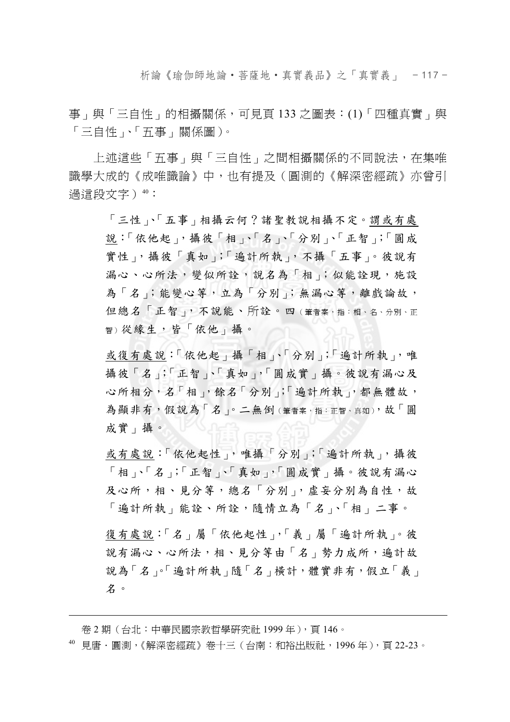析論《瑜伽師地論‧菩薩地‧真實義品》之「真實義」 - 117 -

事」與「三自性」的相攝關係,可見頁 133 之圖表:(1)「四種真實」與 「三自性」、「五事」關係圖)。

上述這些「五事」與「三自性」之間相攝關係的不同說法,在集唯 識學大成的《成唯識論》中,也有提及(圓測的《解深密經疏》亦曾引 過這段文字) 40:

「三性」、「五事」相攝云何?諸聖教說相攝不定。謂或有處 說:「依他起」,攝彼「相」、「名」、「分別」、「正智」;「圓成 實性」,攝彼「真如」;「遍計所執」,不攝「五事」。彼說有 漏心、心所法,變似所詮,說名為「相」;似能詮現,施設 為「名」;能變心等,立為「分別」;無漏心等,離戲論故, 但總名「正智」,不說能、所詮。四(筆者案,指:相、名、分別、正 智)從緣生,皆「依他」攝。

或復有處說:「依他起」攝「相」、「分別」;「遍計所執」,唯 攝彼「名」;「正智」、「真如」,「圓成實」攝。彼說有漏心及 心所相分,名「相」,餘名「分別」;「遍計所執」,都無體故, 為顯非有,假說為「名」。二無倒(筆者案,指:正智、真如),故「圓 成實」攝。

或有處說:「依他起性」,唯攝「分別」;「遍計所執」,攝彼 「相」、「名」;「正智」、「真如」,「圓成實」攝。彼說有漏心 及心所,相、見分等,總名「分別」,虛妄分別為自性,故 「遍計所執」能詮、所詮,隨情立為「名」、「相」二事。

復有處說:「名」屬「依他起性」,「義」屬「遍計所執」。彼 說有漏心、心所法,相、見分等由「名」勢力成所,遍計故 說為「名」。「遍計所執」隨「名」橫計,體實非有,假立「義」 名。

卷 2 期 (台北:中華民國宗教哲學研究社 1999 年), 頁 146。

 $40$  見唐 ·圓測,《解深密經疏》卷十三(台南:和裕出版社,1996年),頁 22-23。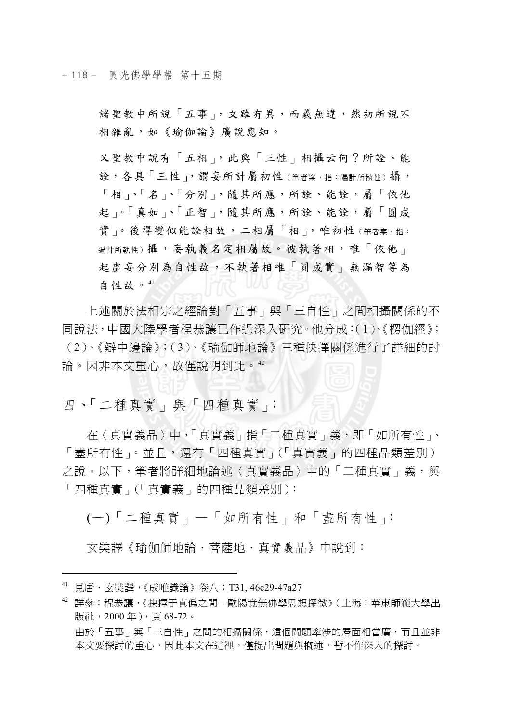- 118 - 圓光佛學學報 第十五期

諸聖教中所說「五事」,文雖有異,而義無違,然初所說不 相雜亂,如《瑜伽論》廣說應知。

又聖教中說有「五相」,此與「三性」相攝云何?所詮、能 詮,各具「三性」,謂妄所計屬初性(筆者案,指:遍計所執性)攝, 「相」、「名」、「分別」,隨其所應,所詮、能詮,屬「依他 起」。「真如」、「正智」,隨其所應,所詮、能詮,屬「圓成 實」。後得變似能詮相故,二相屬「相」,唯初性(筆者案,指: **遍計所執性)攝,妄執義名定相屬故。彼執著相,唯「依他」** 起虛妄分別為自性故,不執著相唯「圓成實」無漏智等為 自性故。<sup>41</sup>

上述關於法相宗之經論對「五事」與「三自性」之間相攝關係的不 同說法,中國大陸學者程恭讓已作過深入研究。他分成:(1)、《楞伽經》; (2)、《辯中邊論》;(3)、《瑜伽師地論》三種抉擇關係進行了詳細的討 論。因非本文重心,故僅說明到此。<sup>42</sup>

四、「二種真實」與「四種真實」:

在〈真實義品〉中,「真實義」指「二種真實」義,即「如所有性」、 「盡所有性」。並且,還有「四種真實」(「真實義」的四種品類差別) 之說。以下,筆者將詳細地論述〈真實義品〉中的「二種真實」義,與 「四種真實」(「真實義」的四種品類差別):

(一)「二種真實」—「如所有性」和「盡所有性」:

玄奘譯《瑜伽師地論.菩薩地.真實義品》中說到:

<sup>41</sup> 見唐.玄奘譯,《成唯識論》卷八;T31, 46c29-47a27

<sup>42</sup> 詳參:程恭讓,《抉擇于真偽之間—歐陽竟無佛學思想探微》(上海:華東師範大學出 版社,2000 年),頁 68-72。 由於「五事」與「三自性」之間的相攝關係,這個問題牽涉的層面相當廣,而且並非 本文要探討的重心,因此本文在這裡,僅提出問題與概述,暫不作深入的探討。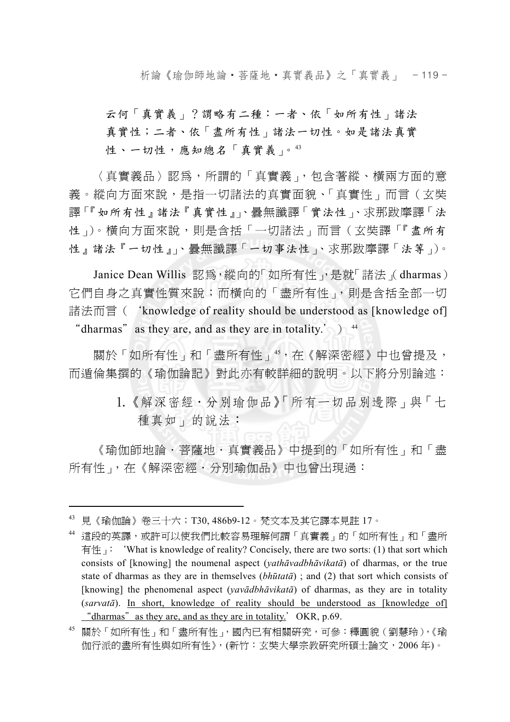析論《瑜伽師地論‧菩薩地‧真實義品》之「真實義」 - 119 -

云何「真實義」?謂略有二種:一者、依「如所有性」諸法 真實性;二者、依「盡所有性」諸法一切性。如是諸法真實 性、一切性,應知總名「真實義」。43

〈真實義品〉認為,所謂的「真實義」,包含著縱、橫兩方面的意 義。縱向方面來說,是指一切諸法的真實面貌、「真實性」而言(玄奘 譯「『如所有性』諸法『真實性』」、曇無讖譯「實法性」、求那跋摩譯「法 性」)。橫向方面來說,則是含括「一切諸法」而言(玄奘譯「『盡所有 性』諸法『一切性』」、曇無讖譯「一切事法性」、求那跋摩譯「法等」)。

Janice Dean Willis 認為,縱向的「如所有性」,是就「諸法」(dharmas) 它們自身之真實性質來說;而橫向的「盡所有性」,則是含括全部一切 諸法而言('knowledge of reality should be understood as [knowledge of] "dharmas" as they are, and as they are in totality.'  $)$ <sup>44</sup>

關於「如所有性」和「盡所有性」45,在《解深密經》中也曾提及, 而遁倫集撰的《瑜伽論記》對此亦有較詳細的說明。以下將分別論述:

> 1.《解深密經.分別瑜伽品》「所有一切品別邊際」與「七 種真如」的說法:

《瑜伽師地論·菩薩地·真實義品》中提到的「如所有性」和「盡 所有性」, 在《解深密經·分別瑜伽品》中也曾出現過:

<sup>43</sup> 見《瑜伽論》卷三十六;T30, 486b9-12。梵文本及其它譯本見註 17。

<sup>44</sup> 這段的英譯,或許可以使我們比較容易理解何謂「真實義」的「如所有性」和「盡所 有性<sub>」</sub>: 'What is knowledge of reality? Concisely, there are two sorts: (1) that sort which consists of [knowing] the noumenal aspect (*yathāvadbhāvikatā*) of dharmas, or the true state of dharmas as they are in themselves (*bhūtatā*) ; and (2) that sort which consists of [knowing] the phenomenal aspect (*yavādbhāvikatā*) of dharmas, as they are in totality (*sarvatā*). In short, knowledge of reality should be understood as [knowledge of] "dharmas" as they are, and as they are in totality.' OKR, p.69.

<sup>45</sup> 關於「如所有性」和「盡所有性」,國內已有相關研究,可參:釋圓貌(劉慧玲),《瑜 伽行派的盡所有性與如所有性》,(新竹:玄奘大學宗教研究所碩士論文,2006 年)。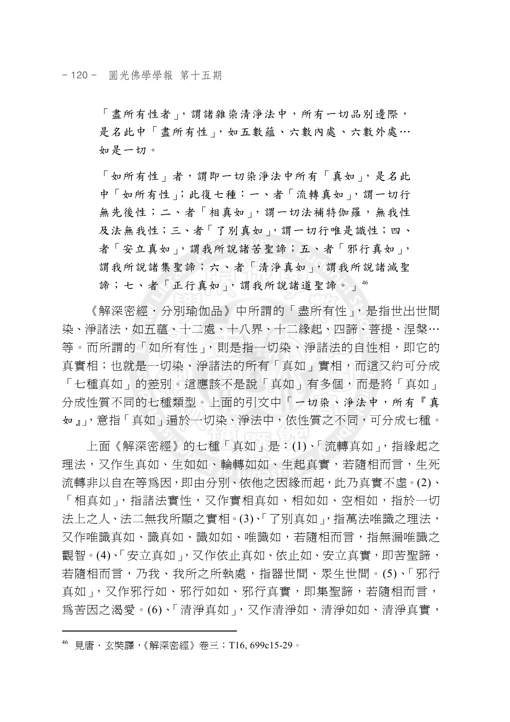「盡所有性者」,謂諸雜染清淨法中,所有一切品別邊際, 是名此中「盡所有性」,如五數蘊、六數內處、六數外處… 如是一切。

「如所有性」者,謂即一切染淨法中所有「真如」,是名此 中「如所有性」;此復七種:一、者「流轉真如」,謂一切行 無先後性;二、者「相真如」,謂一切法補特伽羅,無我性 及法無我性;三、者「了別真如」,謂一切行唯是識性;四、 者「安立真如」, 謂我所說諸苦聖諦;五、者「邪行真如」, 謂我所說諸集聖諦;六、者「清淨真如」,謂我所說諸滅聖 諦;七、者「正行真如」,謂我所說諸道聖諦。」46

《解深密經.分別瑜伽品》中所謂的「盡所有性」,是指世出世間 染、淨諸法,如五蘊、十二處、十八界、十二緣起、四諦、菩提、涅槃… 等。而所謂的「如所有性」,則是指一切染、淨諸法的自性相,即它的 真實相;也就是一切染、淨諸法的所有「真如」實相,而這又約可分成 「七種真如」的差別。這應該不是說「真如」有多個,而是將「真如」 分成性質不同的七種類型。上面的引文中「一切染、淨法中,所有『真 如』」,意指「真如」遍於一切染、淨法中,依性質之不同,可分成七種。

上面《解深密經》的七種「真如」是:(1)、「流轉真如」,指緣起之 理法,又作生真如、生如如、輪轉如如、生起真實,若隨相而言,生死 流轉非以自在等為因,即由分別、依他之因緣而起,此乃真實不虛。(2)、 「相真如」,指諸法實性,又作實相真如、相如如、空相如,指於一切 法上之人、法二無我所顯之實相。(3)、「了別真如」, 指萬法唯識之理法, 又作唯識真如、識真如、識如如、唯識如,若隨相而言,指無漏唯識之 觀智。(4)、「安立真如」,又作依止真如、依止如、安立真實,即苦聖諦, 若隨相而言,乃我、我所之所執處,指器世間、眾生世間。(5)、「邪行 真如」,又作邪行如、邪行如如、邪行真實,即集聖諦,若隨相而言, 為苦因之渴愛。(6)、「清淨真如」,又作清淨如、清淨如如、清淨真實,

<sup>46</sup> 見唐.玄奘譯,《解深密經》卷三;T16, 699c15-29。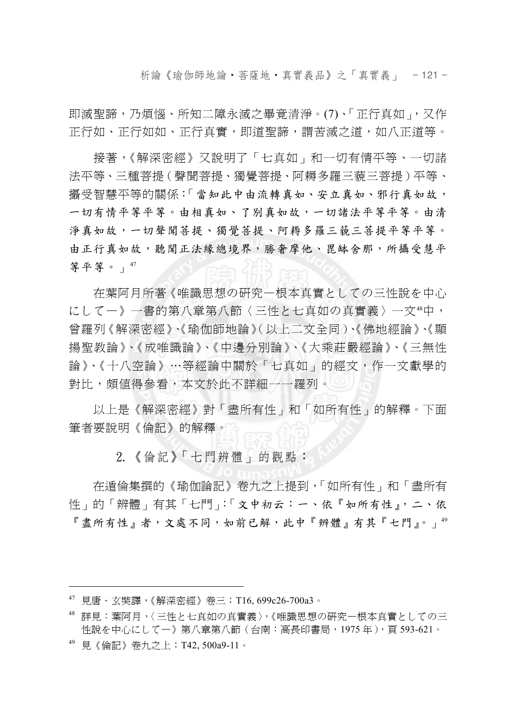析論《瑜伽師地論‧菩薩地‧真實義品》之「真實義」 - 121 -

即滅聖諦,乃煩惱、所知二障永滅之畢竟清淨。(7)、「正行真如」,又作 正行如、正行如如、正行真實,即道聖諦,謂苦滅之道,如八正道等。

接著,《解深密經》又說明了「七真如」和一切有情平等、一切諸 法平等、三種菩提(聲聞菩提、獨覺菩提、阿耨多羅三藐三菩提)平等、 攝受智慧平等的關係:「當知此中由流轉真如、安立真如、邪行真如故, 一切有情平等平等。由相真如、了別真如故,一切諸法平等平等。由清 淨真如故,一切聲聞菩提、獨覺菩提、阿耨多羅三藐三菩提平等平等。 由正行真如故,聽聞正法緣總境界,勝奢摩他、毘缽舍那,所攝受慧平 等平等。」<sup>47</sup>

在葉阿月所著《唯識思想の研究—根本真實としての三性說を中心 にして一》一書的第八章第八節〈三性と七真如の真實義〉一文46中, 曾羅列《解深密經》、《瑜伽師地論》(以上二文全同)、《佛地經論》、《顯 揚聖教論》、《成唯識論》、《中邊分別論》、《大乘莊嚴經論》、《三無性 論》、《十八空論》…等經論中關於「七真如」的經文,作一文獻學的 對比,頗值得參看,本文於此不詳細一一羅列。

以上是《解深密經》對「盡所有性」和「如所有性」的解釋。下面 筆者要說明《倫記》的解釋。

2.《倫記》「七門辨體」的觀點:

在遁倫集撰的《瑜伽論記》卷九之上提到,「如所有性」和「盡所有 性」的「辨體」有其「七門」:「文中初云:一、依『如所有性』,二、依 『盡所有性』者,文處不同,如前已解,此中『辨體』有其『七門』。」49

 $47$  見唐·玄奘譯,《解深密經》卷三; T16, 699c26-700a3。

<sup>48</sup> 詳見:葉阿月,〈三性と七真如の真實義〉,《唯識思想の研究—根本真實としての三 性說を中心にして一》第八章第八節(台南:高長印書局,1975年),頁593-621。

<sup>49</sup> 見《倫記》卷九之上;T42, 500a9-11。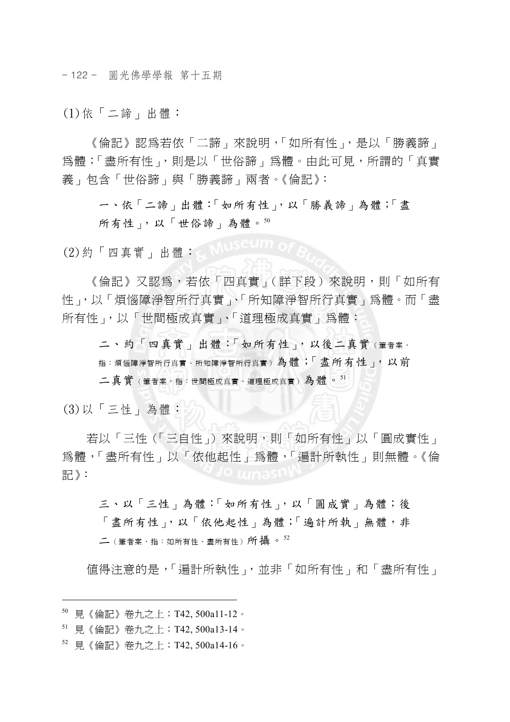- 122 - 圓光佛學學報 第十五期

(1)依「二諦」出體:

《倫記》認為若依「二諦」來說明,「如所有性」,是以「勝義諦」 為體;「盡所有性」,則是以「世俗諦」為體。由此可見,所謂的「真實 義」包含「世俗諦」與「勝義諦」兩者。《倫記》:

一、依「二諦」出體:「如所有性」,以「勝義諦」為體;「盡 所有性」,以「世俗諦」為體。50

(2)約「四真實」出體:

《倫記》又認為,若依「四真實」(詳下段)來說明,則「如所有 性」,以「煩惱障淨智所、真實」、「所知障淨智所行真實」為體。而「盡 所有性」,以「世間極成真實」、「道理極成真實」為體:

二、約「四真實」出體:「如所有性」,以後二真實(筆者案, 指:煩惱障淨智所行真實)為體;「盡所有性」,以前 二真實(筆者案,指:世間極成真實、道理極成真實)為體。<sup>51</sup>

(3)以「三性」為體:

若以「三性(「三自性」)來說明,則「如所有性」以「圓成實性」 為體,「盡所有性」以「依他起性」為體,「遍計所執性」則無體。《倫 記》:

三、以「三性」為體:「如所有性」,以「圓成實」為體;後 「盡所有性」,以「依他起性」為體;「遍計所執」無體,非  $\angle$ (筆者家,指: 如所有性、盡所有性)所攝。 $^{52}$ 

值得注意的是,「遍計所執性」,並非「如所有性」和「盡所有性」

<sup>50</sup> 見《倫記》卷九之上;T42, 500a11-12。

<sup>51</sup> 見《倫記》卷九之上;T42, 500a13-14。

<sup>52</sup> 見《倫記》卷九之上;T42, 500a14-16。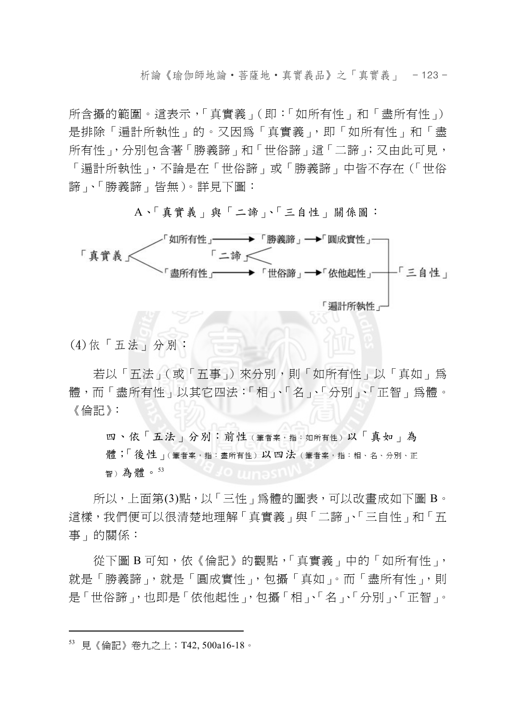析論《瑜伽師地論‧菩薩地‧真實義品》之「真實義」 - 123 -

所含攝的範圍。這表示,「真實義」(即:「如所有性」和「盡所有性」) 是排除「遍計所執性」的。又因為「真實義」,即「如所有性」和「盡 所有性」,分別包含著「勝義諦」和「世俗諦」這「二諦」;又由此可見, 「遍計所執性」,不論是在「世俗諦」或「勝義諦」中皆不存在(「世俗 諦」、「勝義諦」皆無)。詳見下圖:

#### A、「真實義」與「二諦」、「三自性」關係圖:

- 如所有性 - → 「勝義諦」→「圓成實性 - → 「直曾義く 「二諦へ 盡所有性┌──→ 「世俗諦」→「依他起性」──「三自性」 「漏計所執性」

(4)依「五法」分別:

若以「五法」(或「五事」)來分別,則「如所有性」以「真如」為 體,而「盡所有性」以其它四法:「相」、「名」、「分別」、「正智」為體。 《倫記》:

四、依「五法」分別: 前性(筆者案,指:如所有性)以「真如」為 體;「後性」(筆者案,指:盡所有性)以四法(筆者案,指:相、名、分別、正 智)為體。<sup>53</sup>

所以,上面第(3)點,以「三性」為體的圖表,可以改書成如下圖 B。 這樣,我們便可以很清楚地理解「真實義」與「二諦」、「三自性」和「五 事」的關係:

從下圖 B 可知,依《倫記》的觀點,「真實義」中的「如所有性」, 就是「勝義諦」,就是「圓成實性」,包攝「真如」。而「盡所有性」,則 是「世俗諦」,也即是「依他起性」,包攝「相」、「名」、「分別」、「正智」。

<sup>53</sup> 見《倫記》卷九之上;T42, 500a16-18。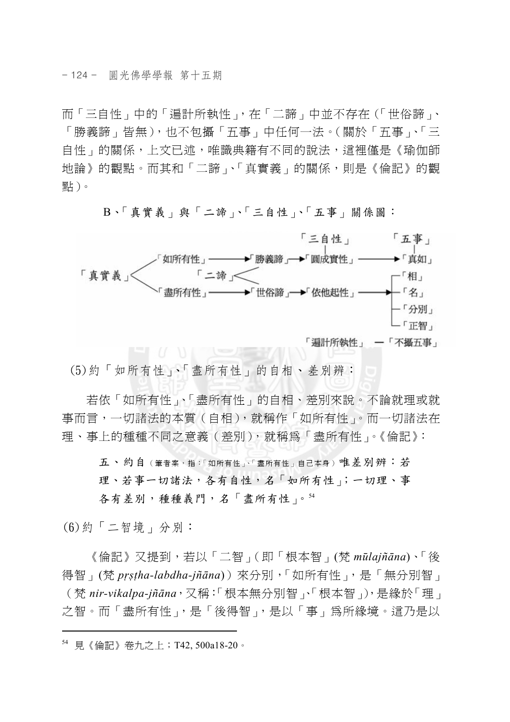而「三自性」中的「遍計所執性」,在「二諦」中並不存在(「世俗諦」、 「勝義諦」皆無),也不包攝「五事」中任何一法。(關於「五事」、「三 自性」的關係,上文已述,唯識典籍有不同的說法,這裡僅是《瑜伽師 地論》的觀點。而其和「二諦」、「真實義」的關係,則是《倫記》的觀 點)。



B、「真實義」與「二諦」、「三自性」、「五事」關係圖:

(5)約「如所有性」、「盡所有性」的自相、差別辨:

若依「如所有性」、「盡所有性」的自相、差別來說。不論就理或就 事而言,一切諸法的本質(自相),就稱作「如所有性」。而一切諸法在 理、事上的種種不同之意義(差別),就稱為「盡所有性」。《倫記》:

五、約自(筆者案,指:「如所有性」、「盡所有性」自己本身)唯差別辨:若 理、若事一切諸法,各有自性,名「如所有性」;一切理、事 各有差別,種種義門,名「盡所有性」。<sup>54</sup>

(6)約「二智境」分別:

 $\overline{a}$ 

《倫記》又提到,若以「二智」(即「根本智」(梵 *mūlajñāna*)、「後 得智」(梵 *pṛṣṭha-labdha-jñāna*))來分別,「如所有性」,是「無分別智」 (梵 *nir-vikalpa-jñāna*,又稱:「根本無分別智」、「根本智」),是緣於「理」 之智。而「盡所有性」,是「後得智」,是以「事」為所緣境。這乃是以

<sup>54</sup> 見《倫記》卷九之上;T42, 500a18-20。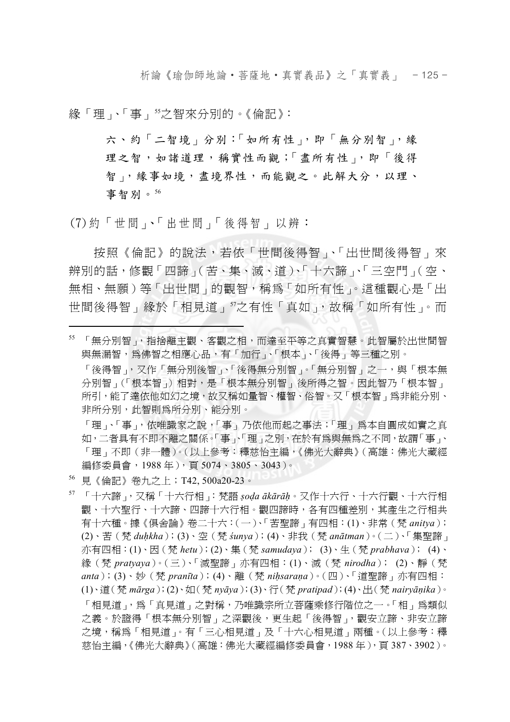析論《瑜伽師地論‧菩薩地‧真實義品》之「真實義」 - 125 -

緣「理」、「事」55之智來分別的。《倫記》:

六、約「二智境」分別:「如所有性」,即「無分別智」,緣 理之智,如諸道理,稱實性而觀;「盡所有性」,即「後得 智」,緣事如境,盡境界性,而能觀之。此解大分,以理、 事智別。<sup>56</sup>

(7)約「世間」、「出世間」「後得智」以辨:

按照《倫記》的說法,若依「世間後得智」、「出世間後得智」來 辨別的話,修觀「四諦」(苦、集、滅、道)、「十六諦」、「三空門」(空、 無相、無願)等「出世間」的觀智,稱為「如所有性」。這種觀心是「出 世間後得智」緣於「相見道」"之有性「真如」,故稱「如所有性」。而

「理」、「事」,依唯識家之說,「事」乃依他而起之事法;「理」為本自圓成如實之真 如,二者具有不即不離之關係。「事」、「理」之別,在於有爲與無爲之不同,故謂「事」、 「理」不即(非一體)。(以上參考:釋慈怡主編,《佛光大辭典》(高雄:佛光大藏經 編修委員會, 1988年), 頁 5074、3805、3043)。

56 見《倫記》卷九之上;T42, 500a20-23。

 $\overline{a}$ 

57 「十六諦」,又稱「十六行相」:梵語 *ṣoḍa ākārāḥ*。又作十六行、十六行觀、十六行相 觀、十六聖行、十六諦、四諦十六行相。觀四諦時,各有四種差別,其產生之行相共 有十六種。據《俱舍論》卷二十六:(一)、「苦聖諦」有四相:(1)、非常(梵 *anitya*); (2)、苦(梵 *duḥkha*);(3)、空(梵 *śunya*);(4)、非我(梵 *anātman*)。(二)、「集聖諦」 亦有四相:(1)、因(梵 *hetu*);(2)、集(梵 *samudaya*); (3)、生(梵 *prabhava*); (4)、 緣(梵 *pratyaya*)。(三)、「滅聖諦」亦有四相:(1)、滅(梵 *nirodha*); (2)、靜(梵 *anta*);(3)、妙(梵 *pranīta*);(4)、離(梵 *niḥsaraṇa*)。(四)、「道聖諦」亦有四相: (1)、道(梵 *mārga*);(2)、如(梵 *nyāya*);(3)、行(梵 *pratipad*);(4)、出(梵 *nairyāṇika*)。 「相見道」,為「真見道」之對稱,乃唯識宗所立菩薩乘修行階位之一。「相」為類似 之義。於證得「根本無分別智」之深觀後,更生起「後得智」,觀安立諦、非安立諦 之境,稱為「相見道」。有「三心相見道」及「十六心相見道」兩種。(以上參考:釋 慈怡主編,《佛光大辭典》(高雄:佛光大藏經編修委員會,1988 年),頁 387、3902)。

<sup>55</sup> 「無分別智」,指捨離主觀、客觀之相,而達至平等之真實智慧。此智屬於出世間智 與無漏智,為佛智之相應心品,有「加行」、「根本」、「後得」等三種之別。

<sup>「</sup>後得智」,又作「無分別後智」、「後得無分別智」。「無分別智」之一,與「根本無 分別智」(「根本智」)相對,是「根本無分別智」後所得之智。因此智乃「根本智」 所引,能了達依他如幻之境,故又稱如量智、權智、俗智。又「根本智」為非能分別、 非所分別,此智則為所分別、能分別。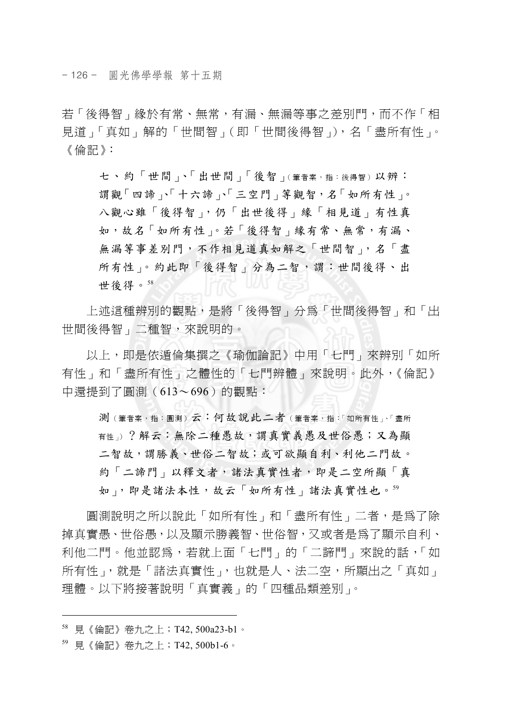- 126 - 圓光佛學學報 第十五期

若「後得智」緣於有常、無常,有漏、無漏等事之差別門,而不作「相 見道」「真如」解的「世間智」(即「世間後得智」),名「盡所有性」。 《倫記》:

七、約「世間」、「出世間」「後智」(筆者案,指:後得智)以辨: 謂觀「四諦」、「十六諦」、「三空門」等觀智,名「如所有性」。 八觀心雖「後得智」,仍「出世後得」緣「相見道」有性真 如,故名「如所有性」。若「後得智」緣有常、無常,有漏、 無漏等事差別門,不作相見道真如解之「世間智」,名「盡 所有性」。約此即「後得智」分為二智,謂:世間後得、出 世後得。<sup>58</sup>

上述這種辨別的觀點,是將「後得智」分為「世間後得智」和「出 世間後得智」二種智,來說明的。

以上,即是依遁倫集撰之《瑜伽論記》中用「七門」來辨別「如所 有性」和「盡所有性」之體性的「七門辨體」來說明。此外,《倫記》 中還提到了圓測(613~696)的觀點:

測(筆者案,指:圓測)云:何故說此二者(筆者案,指:「如所有性」、「盡所 有性」)?解云:無除二種愚故,謂真實義愚及世俗愚;又為顯 二智故,謂勝義、世俗二智故;或可欲顯自利、利他二門故。 約「二諦門」以釋文者,諸法真實性者,即是二空所顯「真 如」,即是諸法本性,故云「如所有性」諸法真實性也。59

圓測說明之所以說此「如所有性」和「盡所有性」二者,是為了除 掉真實愚、世俗愚,以及顯示勝義智、世俗智,又或者是為了顯示自利、 利他二門。他並認爲,若就上面「七門」的「二諦門」來說的話,「如 所有性」,就是「諸法真實性」,也就是人、法二空,所顯出之「真如」 理體。以下將接著說明「真實義」的「四種品類差別」。

<sup>58</sup> 見《倫記》卷九之上;T42, 500a23-b1。

<sup>59</sup> 見《倫記》卷九之上;T42, 500b1-6。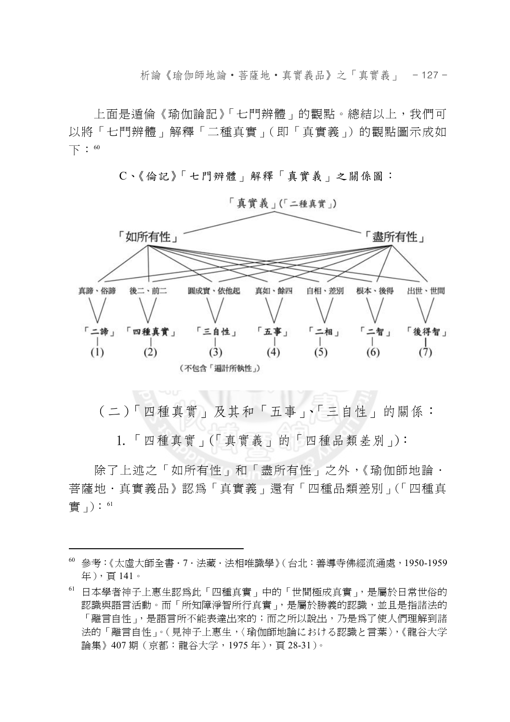析論《瑜伽師地論‧菩薩地‧真實義品》之「真實義」 - 127 -

上面是遁倫《瑜伽論記》「七門辨體」的觀點。總結以上,我們可 以將「七門辨體」解釋「二種真實」(即「真實義」)的觀點圖示成如 下:<sup>60</sup>

C、《倫記》「七門辨體」解釋「真實義」之關係圖:



「真實義」(「二種真實」)

(二)「四種真實」及其和「五事」、「三自性」的關係:

1.「四種真實」(「真實義」的「四種品類差別」):

除了上述之「如所有性」和「盡所有性」之外,《瑜伽師地論 · 菩薩地·真實義品》認爲「真實義」還有「四種品類差別」(「四種真 實」): 61

<sup>60</sup> 參考:《太虛大師全書.7.法藏.法相唯識學》(台北:善導寺佛經流通處,1950-1959 年),頁 141。

<sup>61</sup> 日本學者神子上惠生認為此「四種真實」中的「世間極成真實」,是屬於日常世俗的 認識與語言活動。而「所知障淨智所行真實」,是屬於勝義的認識,並且是指諸法的 「離言自性」,是語言所不能表達出來的;而之所以說出,乃是為了使人們理解到諸 法的「離言自性」。(見神子上惠生,〈瑜伽師地論における認識と言葉〉,《龍谷大学 論集》407 期(京都:龍谷大学,1975 年),頁 28-31)。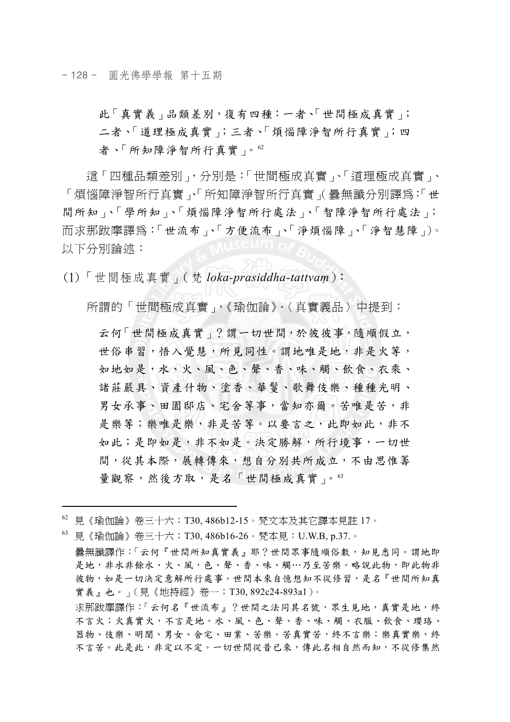- 128 - 圓光佛學學報 第十五期

此「真實義」品類差別,復有四種:一者、「世間極成真實」; 二者、「道理極成真實」;三者、「煩惱障淨智所行真實」;四 者、「所知障淨智所行真實」。<sup>62</sup>

這「四種品類差別」,分別是:「世間極成真實」、「道理極成真實」、 「煩惱障淨智所行真實」(曇無讖分別譯爲:「世 間所知」、「學所知」、「煩惱障淨智所行處法」、「智障淨智所行處法」; 而求那跋摩譯爲:「世流布」、「方便流布」、「淨煩惱障」、「淨智慧障」)。 以下分別論述:

(1)「世間極成真實」(梵 *loka-prasiddha-tattvaṃ*):

所謂的「世間極成真實」,《瑜伽論》,〈真實義品〉中提到:

云何「世間極成真實」?謂一切世間,於彼彼事,隨順假立, 世俗串習,悟入覺慧,所見同性。謂地唯是地,非是火等, 如地如是,水、火、風、色、聲、香、味、觸、飲食、衣乘、 諸莊嚴具、資產什物、塗香、華鬘、歌舞伎樂、種種光明、 男女承事、田園邸店、宅舍等事,當知亦爾。苦唯是苦,非 是樂等;樂唯是樂,非是苦等。以要言之,此即如此,非不 如此;是即如是,非不如是。決定勝解,所行境事,一切世 間,從其本際,展轉傳來,想自分別共所成立,不由思惟籌 量觀察,然後方取,是名「世間極成真實」。<sup>63</sup>

 $\overline{a}$ 

63 見《瑜伽論》卷三十六;T30, 486b16-26。梵本見:U.W.B, p.37.。 曇無讖譯作:「云何『世間所知真實義』耶?世間眾事隨順俗數,知見悉同。謂地即 是地,非水非餘水、火、風,色、聲、香、味、觸…乃至苦樂。略說此物,即此物非 彼物,如是一切決定意解所行處事。世間本來自憶想知不從修習,是名『世間所知真 實義』也。」(見《地持經》卷一;T30, 892c24-893a1)。 求那跋摩譯作:「云何名『世流布』?世間之法同其名號,眾生見地,真實是地,終 不言火;火真實火,不言是地。水、風、色、聲、香、味、觸、衣服、飲食、瓔珞、 器物、伎樂、明闇、男女、舍宅、田業、苦樂。苦真實苦,終不言樂;樂真實樂,終 不言苦。此是此,非定以不定。一切世間從昔已來,傳此名相自然而知,不從修集然

 $^{62}$  見《瑜伽論》卷三十六;T30,486b12-15。梵文本及其它譯本見註 17。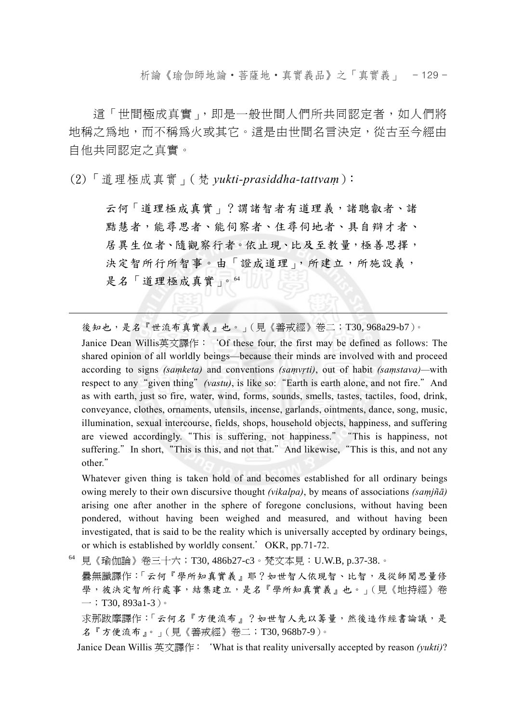析論《瑜伽師地論‧菩薩地‧真實義品》之「真實義」 - 129 -

這「世間極成真實」,即是一般世間人們所共同認定者,如人們將 地稱之為地,而不稱為火或其它。這是由世間名言決定,從古至今經由 自他共同認定之真實。

(2)「道理極成真實」(梵 *yukti-prasiddha-tattvaṃ*):

 $\overline{a}$ 

云何「道理極成真實」?謂諸智者有道理義,諸聰叡者、諸 黠慧者,能尋思者、能伺察者、住尋伺地者、具自辯才者、 居異生位者、隨觀察行者。依止現、比及至教量,極善思擇, 決定智所行所智事。由「證成道理」,所建立,所施設義, 是名「道理極成真實」。<sup>64</sup>

後知也,是名『世流布真實義』也。」(見《善戒經》卷二;T30, 968a29-b7)。

 Janice Dean Willis英文譯作:'Of these four, the first may be defined as follows: The shared opinion of all worldly beings—because their minds are involved with and proceed according to signs *(saṃketa)* and conventions *(saṃvṛti)*, out of habit *(saṃstava)—*with respect to any "given thing" (vastu), is like so: "Earth is earth alone, and not fire." And as with earth, just so fire, water, wind, forms, sounds, smells, tastes, tactiles, food, drink, conveyance, clothes, ornaments, utensils, incense, garlands, ointments, dance, song, music, illumination, sexual intercourse, fields, shops, household objects, happiness, and suffering are viewed accordingly."This is suffering, not happiness.""This is happiness, not suffering." In short, "This is this, and not that." And likewise, "This is this, and not any other."

 Whatever given thing is taken hold of and becomes established for all ordinary beings owing merely to their own discursive thought *(vikalpa)*, by means of associations *(saṃjñā)* arising one after another in the sphere of foregone conclusions, without having been pondered, without having been weighed and measured, and without having been investigated, that is said to be the reality which is universally accepted by ordinary beings, or which is established by worldly consent.'OKR, pp.71-72.

64 見《瑜伽論》卷三十六;T30, 486b27-c3。梵文本見:U.W.B, p.37-38.。

曇無讖譯作:「云何『學所知真實義』耶?如世智人依現智、比智,及從師聞思量修 學,彼決定智所行處事,結集建立,是名『學所知真實義』也。」(見《地持經》卷  $-$ ; T30, 893a1-3)。

求那跋摩譯作:「云何名『方便流布』?如世智人先以籌量,然後造作經書論議,是 名『方便流布』。」(見《善戒經》卷二;T30, 968b7-9)。

Janice Dean Willis 英文譯作:'What is that reality universally accepted by reason *(yukti)*?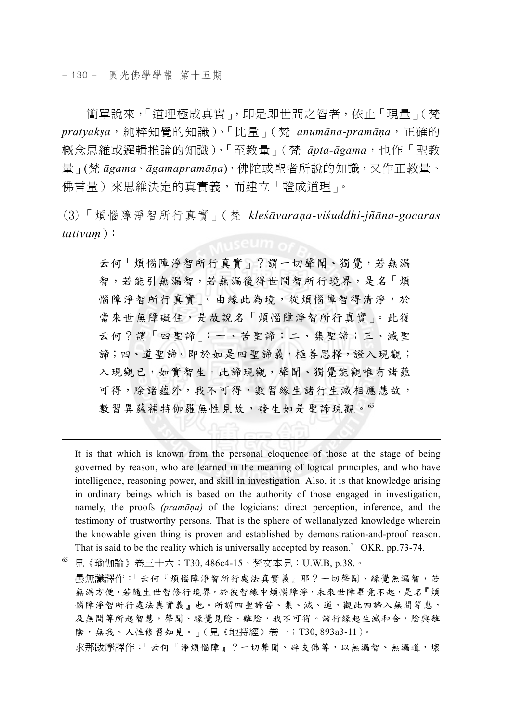$\overline{a}$ 

簡單說來,「道理極成真實」,即是即世間之智者,依止「現量」(梵 *pratyakṣa*,純粹知覺的知識)、「比量」(梵 *anumāna-pramāṇa*,正確的 概念思維或邏輯推論的知識)、「至教量」(梵 *āpta-āgama*,也作「聖教 量」(梵 *āgama*、*āgamapramāṇa*),佛陀或聖者所說的知識,又作正教量、 佛言量)來思維決定的真實義,而建立「證成道理」。

(3)「煩惱障淨智所行真實」(梵 *kleśāvaraṇa-viśuddhi-jñāna-gocaras tattvaṃ*):

云何「煩惱障淨智所行真實」?謂一切聲聞、獨覺,若無漏 智,若能引無漏智,若無漏後得世間智所行境界,是名「煩 惱障淨智所行真實」。由緣此為境,從煩惱障智得清淨,於 當來世無障礙住,是故說名「煩惱障淨智所行真實」。此復 云何?謂「四聖諦」:一、苦聖諦;二、集聖諦;三、滅聖 諦;四、道聖諦。即於如是四聖諦義,極善思擇,證入現觀; 入現觀已,如實智生。此諦現觀,聲聞、獨覺能觀唯有諸蘊 可得,除諸蘊外,我不可得,數習緣生諸行生滅相應慧故, 數習異蘊補特伽羅無性見故,發生如是聖諦現觀。65

It is that which is known from the personal eloquence of those at the stage of being governed by reason, who are learned in the meaning of logical principles, and who have intelligence, reasoning power, and skill in investigation. Also, it is that knowledge arising in ordinary beings which is based on the authority of those engaged in investigation, namely, the proofs *(pramāṇa)* of the logicians: direct perception, inference, and the testimony of trustworthy persons. That is the sphere of wellanalyzed knowledge wherein the knowable given thing is proven and established by demonstration-and-proof reason. That is said to be the reality which is universally accepted by reason.' OKR, pp.73-74.

65 見《瑜伽論》卷三十六;T30, 486c4-15。梵文本見:U.W.B, p.38.。

曇無讖譯作:「云何『煩惱障淨智所行處法真實義』耶?一切聲聞、緣覺無漏智,若 無漏方便,若隨生世智修行境界。於彼智緣中煩惱障淨,未來世障畢竟不起,是名『煩 惱障淨智所行處法真實義』也。所謂四聖諦苦、集、滅、道。觀此四諦入無間等惠, 及無間等所起智慧,聲聞、緣覺見陰、離陰,我不可得。諸行緣起生滅和合,陰與離 陰,無我、人性修習知見。」(見《地持經》卷一;T30, 893a3-11)。

求那跋摩譯作:「云何『淨煩惱障』?一切聲聞、辟支佛等,以無漏智、無漏道,壞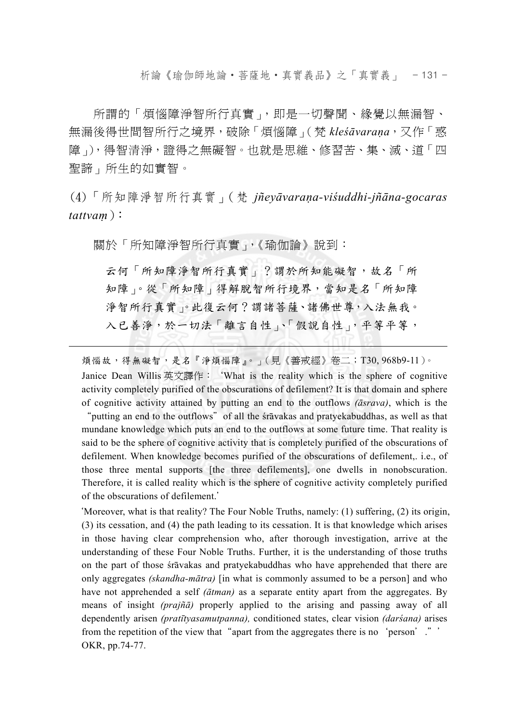析論《瑜伽師地論‧菩薩地‧真實義品》之「真實義」 - 131 -

所謂的「煩惱障淨智所行真實」,即是一切聲聞、緣覺以無漏智、 無漏後得世間智所行之境界,破除「煩惱障」(梵 *kleśāvaraṇa*,又作「惑 障」),得智清淨,證得之無礙智。也就是思維、修習苦、集、滅、道「四 聖諦」所生的如實智。

(4)「所知障淨智所行真實」(梵 *jñeyāvaraṇa-viśuddhi-jñāna-gocaras tattvaṃ*):

關於「所知障淨智所行真實」,《瑜伽論》說到:

 $\overline{a}$ 

云何「所知障淨智所行真實」?謂於所知能礙智,故名「所 知障」。從「所知障」得解脫智所行境界,當知是名「所知障 淨智所行真實」。此復云何?謂諸菩薩、諸佛世尊,入法無我。 入已善淨,於一切法「離言自性」、「假說自性」,平等平等,

煩惱故,得無礙智,是名『淨煩惱障』。」(見《善戒經》卷二;T30, 968b9-11)。 Janice Dean Willis 英文譯作: 'What is the reality which is the sphere of cognitive activity completely purified of the obscurations of defilement? It is that domain and sphere of cognitive activity attained by putting an end to the outflows *(āsrava)*, which is the

"putting an end to the outflows"of all the śrāvakas and pratyekabuddhas, as well as that mundane knowledge which puts an end to the outflows at some future time. That reality is said to be the sphere of cognitive activity that is completely purified of the obscurations of defilement. When knowledge becomes purified of the obscurations of defilement,. i.e., of those three mental supports [the three defilements], one dwells in nonobscuration. Therefore, it is called reality which is the sphere of cognitive activity completely purified of the obscurations of defilement.'

'Moreover, what is that reality? The Four Noble Truths, namely: (1) suffering, (2) its origin, (3) its cessation, and (4) the path leading to its cessation. It is that knowledge which arises in those having clear comprehension who, after thorough investigation, arrive at the understanding of these Four Noble Truths. Further, it is the understanding of those truths on the part of those śrāvakas and pratyekabuddhas who have apprehended that there are only aggregates *(skandha-mātra)* [in what is commonly assumed to be a person] and who have not apprehended a self *(ātman)* as a separate entity apart from the aggregates. By means of insight *(prajñā)* properly applied to the arising and passing away of all dependently arisen *(pratītyasamutpanna),* conditioned states, clear vision *(darśana)* arises from the repetition of the view that "apart from the aggregates there is no 'person'." OKR, pp.74-77.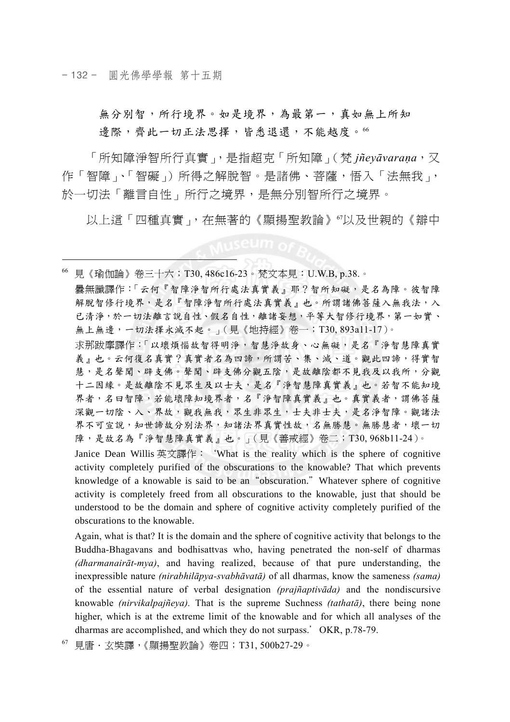- 132 - 圓光佛學學報 第十五期

 $\overline{a}$ 

無分別智,所行境界。如是境界,為最第一,真如無上所知 邊際,齊此一切正法思擇,皆悉退還,不能越度。<sup>66</sup>

「所知障淨智所行真實」,是指超克「所知障」(梵 *jñeyāvaraṇa*,又 作「智障」、「智礙」)所得之解脫智。是諸佛、菩薩,悟入「法無我」, 於一切法「離言自性」所行之境界,是無分別智所行之境界。

以上這「四種真實」, 在無著的《顯揚聖教論》『以及世親的《辯中

66 見《瑜伽論》卷三十六;T30, 486c16-23。梵文本見:U.W.B, p.38.。 曇無讖譯作:「云何『智障淨智所行處法真實義』耶?智所知礙,是名為障。彼智障 解脫智修行境界,是名『智障淨智所行處法真實義』也。所謂諸佛菩薩入無我法,入 已清淨,於一切法離言說自性、假名自性,離諸妄想,平等大智修行境界,第一如實、 無上無邊,一切法擇永滅不起。」(見《地持經》卷一;T30, 893a11-17)。 求那跋摩譯作:「以壞煩惱故智得明淨,智慧淨故身、心無礙,是名『淨智慧障真實 義』也。云何復名真實?真實者名為四諦,所謂苦、集、滅、道。觀此四諦,得實智 慧,是名聲聞、辟支佛。聲聞、辟支佛分觀五陰,是故離陰都不見我及以我所,分觀 十二因緣。是故離陰不見眾生及以士夫,是名『淨智慧障真實義』也。若智不能知境 界者,名曰智障,若能壞障知境界者,名『淨智障真實義』也。真實義者,謂佛菩薩 深觀一切陰、入、界故,觀我無我,眾生非眾生,士夫非士夫,是名淨智障。觀諸法 界不可宣說,知世諦故分別法界,知諸法界真實性故,名無勝慧。無勝慧者,壞一切

 Janice Dean Willis 英文譯作:'What is the reality which is the sphere of cognitive activity completely purified of the obscurations to the knowable? That which prevents knowledge of a knowable is said to be an"obscuration."Whatever sphere of cognitive activity is completely freed from all obscurations to the knowable, just that should be understood to be the domain and sphere of cognitive activity completely purified of the obscurations to the knowable.

障,是故名為『淨智慧障真實義』也。」(見《善戒經》卷二;T30, 968b11-24)。

 Again, what is that? It is the domain and the sphere of cognitive activity that belongs to the Buddha-Bhagavans and bodhisattvas who, having penetrated the non-self of dharmas *(dharmanairāt-mya)*, and having realized, because of that pure understanding, the inexpressible nature *(nirabhilāpya-svabhāvatā)* of all dharmas, know the sameness *(sama)* of the essential nature of verbal designation *(prajñaptivāda)* and the nondiscursive knowable *(nirvikalpajñeya).* That is the supreme Suchness *(tathatā)*, there being none higher, which is at the extreme limit of the knowable and for which all analyses of the dharmas are accomplished, and which they do not surpass.'OKR, p.78-79.

67 見唐.玄奘譯,《顯揚聖教論》卷四;T31, 500b27-29。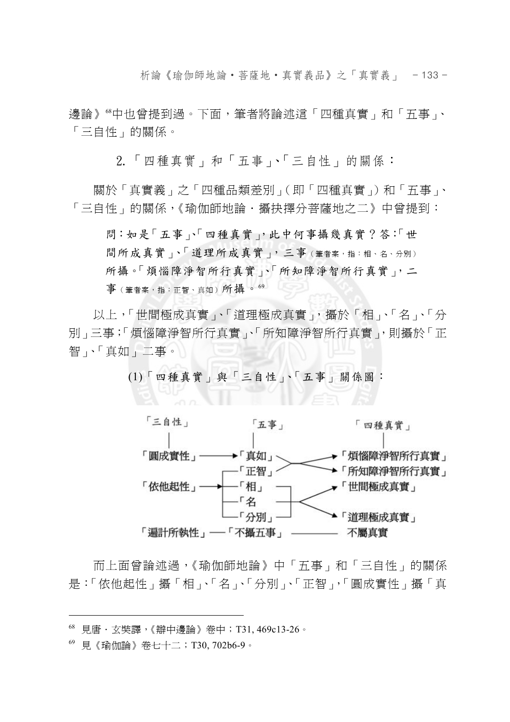析論《瑜伽師地論‧菩薩地‧真實義品》之「真實義」 - 133 -

邊論》68中也曾提到過。下面,筆者將論述這「四種真實」和「五事」、 「三自性」的關係。

2.「四種真實」和「五事」、「三自性」的關係:

關於「真實義」之「四種品類差別」(即「四種真實」)和「五事」、 「三自性」的關係,《瑜伽師地論·攝抉擇分菩薩地之二》中曾提到:

問:如是「五事」、「四種真實」,此中何事攝幾真實?答:「世 間所成真實」、「道理所成真實」,三事(筆者案,指:相、名、分別) 所攝。「煩惱障淨智所行真實」、「所知障淨智所行真實」,二  $\frac{1}{4}$  (筆者案,指:正智、直如)所攝。 $^{69}$ 

以上,「世間極成真實」、「道理極成真實」,攝於「相」、「名」、「分 別」三事;「煩惱障淨智所行真實」、「所知障淨智所行真實」,則攝於「正 智」、「真如」二事。

(1)「四種真實」與「三自性」、「五事」關係圖:



而上面曾論述過,《瑜伽師地論》中「五事」和「三自性」的關係 是:「依他起性」攝「相」、「名」、「分別」、「正智」,「圓成實性」攝「真

<sup>68</sup> 見唐.玄奘譯,《辯中邊論》卷中;T31, 469c13-26。

<sup>69</sup> 見《瑜伽論》卷七十二;T30, 702b6-9。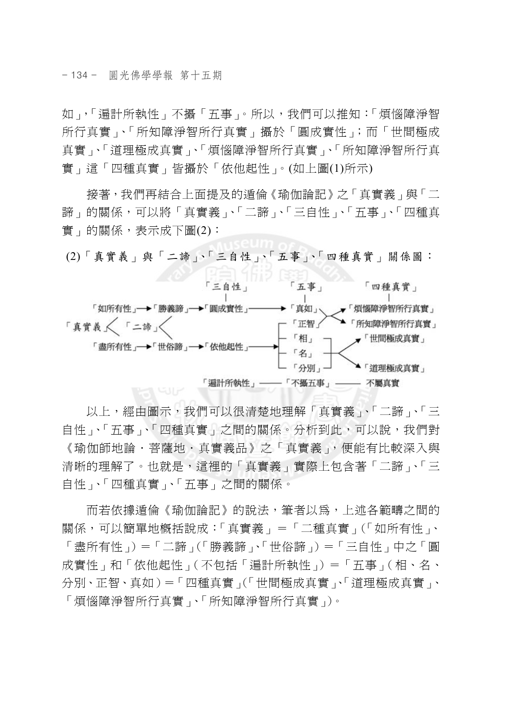- 134 - 圓光佛學學報 第十五期

如」,「遍計所執性」不攝「五事」。所以,我們可以推知:「煩惱障淨智 所行真實」、「所知障淨智所行真實」攝於「圓成實性」;而「世間極成 真實」、「道理極成真實」、「煩惱障淨智所行真實」、「所知障淨智所行真 實」這「四種真實」皆攝於「依他起性」。(如上圖(1)所示)

接著,我們再結合上面提及的遁倫《瑜伽論記》之「真實義」與「二 諦」的關係,可以將「真實義」、「二諦」、「三自性」、「五事」、「四種真 實」的關係,表示成下圖(2):

(2)「真實義」與「二諦」、「三自性」、「五事」、「四種真實」關係圖:



以上,經由圖示,我們可以很清楚地理解「真實義」、「二諦」、「三 自性」、「五事」、「四種真實」之間的關係。分析到此,可以說,我們對 《瑜伽師地論.菩薩地.真實義品》之「真實義」,便能有比較深入與 清晰的理解了。也就是,這裡的「真實義」實際上包含著「二諦」、「三 自性」、「四種真實」、「五事」之間的關係。

而若依據遁倫《瑜伽論記》的說法,筆者以為,上述各範疇之間的 關係,可以簡單地概括說成:「真實義」=「二種真實」(「如所有性」、 「盡所有性」)=「二諦」(「勝義諦」、「世俗諦」)=「三自性」中之「圓 成實性」和「依他起性」(不包括「遍計所執性」)=「五事」(相、名、 分別、正智、真如)=「四種真實」(「世間極成真實」、「道理極成真實」、 「煩惱障淨智所行真實」、「所知障淨智所行真實」)。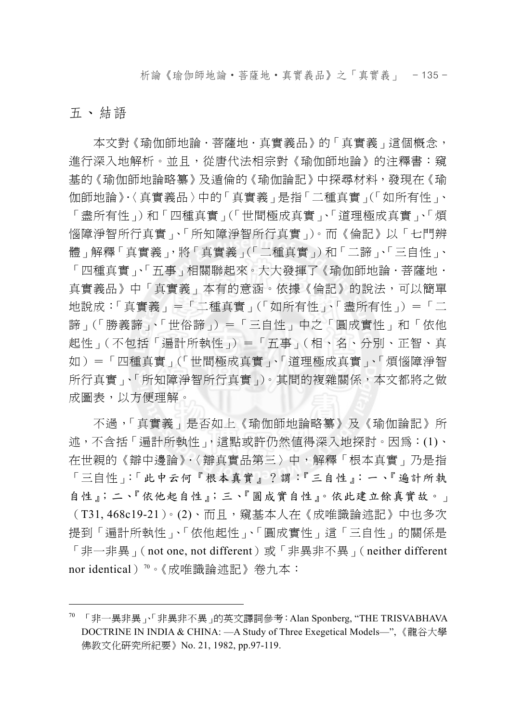析論《瑜伽師地論‧菩薩地‧真實義品》之「真實義」 - 135 -

### 五、結語

 $\overline{a}$ 

本文對《瑜伽師地論·菩薩地·真實義品》的「真實義」這個概念, 進行深入地解析。並且,從唐代法相宗對《瑜伽師地論》的注釋書:窺 基的《瑜伽師地論略纂》及遁倫的《瑜伽論記》中探尋材料,發現在《瑜 伽師地論》.〈真實義品〉中的「真實義」是指「二種真實」(「如所有性」、 「盡所有性」)和「四種真實」(「世間極成真實」、「道理極成真實」、「煩 惱障淨智所行真實」、「所知障淨智所行真實」)。而《倫記》以「七門辨 體」解釋「真實義」,將「真實義」(「二種真實」)和「二諦」、「三自性」、 「四種真實」、「五事」相關聯起來。大大發揮了《瑜伽師地論‧菩薩地‧ 真實義品》中「真實義」本有的意涵。依據《倫記》的說法,可以簡單 地說成:「真實義」=「二種真實」(「如所有性」、「盡所有性」) =「二 諦」(「勝義諦」、「世俗諦」)=「三自性」中之「圓成實性」和「依他 起性」(不包括「遍計所執性」)=「五事」(相、名、分別、正智、真 如)=「四種真實」(「世間極成真實」、「道理極成真實」、「煩惱障淨智 所行真實」、「所知障淨智所行真實」)。其間的複雜關係,本文都將之做 成圖表,以方便理解。

不過,「真實義」是否如上《瑜伽師地論略纂》及《瑜伽論記》所 述,不含括「遍計所執性」,這點或許仍然值得深入地探討。因為:(1)、 在世親的《辯中邊論》.〈辯真實品第三〉中,解釋「根本真實」乃是指 「三自性」:「此中云何『根本真實』?謂:『三自性』:一、『遍計所執 自性』;二、『依他起自性』;三、『圓成實自性』。依此建立餘真實故。」 (T31, 468c19-21)。(2)、而且,窺基本人在《成唯識論述記》中也多次 提到「遍計所執性」、「依他起性」、「圓成實性」這「三自性」的關係是 「非一非異」(not one, not different)或「非異非不異」(neither different nor identical)<sup>70</sup>。《成唯識論述記》卷九本:

 $70$  「非一異非異」、「非異非不異」的英文譯詞參考: Alan Sponberg, "THE TRISVABHAVA DOCTRINE IN INDIA & CHINA: —A Study of Three Exegetical Models—", 《龍谷大學 佛教文化研究所紀要》No. 21, 1982, pp.97-119.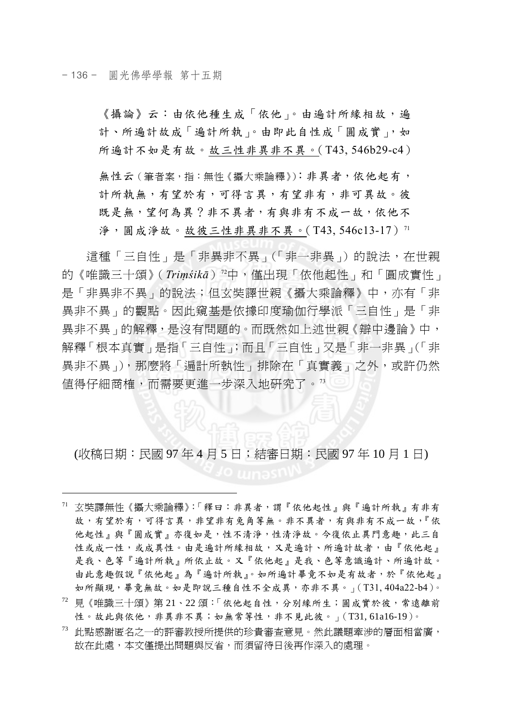$\overline{a}$ 

《攝論》云:由依他種生成「依他」。由遍計所緣相故,遍 計、所遍計故成「遍計所執」。由即此自性成「圓成實」,如 所遍計不如是有故。故三性非異非不異。(T43, 546b29-c4)

無性云(筆者案,指:無性《攝大乘論釋》):非異者,依他起有, 計所執無,有望於有,可得言異,有望非有,非可異故。彼 既是無,望何為異?非不異者,有與非有不成一故,依他不 淨, 圓成淨故。故彼三性非異非不異。(T43, 546c13-17)<sup>71</sup>

這種「三自性」是「非異非不異」(「非一非異」)的說法,在世親 的《唯識三十頌》(*Triṃśikā*)72中,僅出現「依他起性」和「圓成實性」 是「非異非不異」的說法;但玄奘譯世親《攝大乘論釋》中,亦有「非 異非不異」的觀點。因此窺基是依據印度瑜伽行學派「三自性」是「非 異非不異」的解釋,是沒有問題的。而既然如上述世親《辯中邊論》中, 解釋「根本真實」是指「三自性」;而且「三自性」又是「非一非異」(「非 異非不異」),那麼將「遍計所執性」排除在「真實義」之外,或許仍然 值得仔細商榷,而需要更進一步深入地研究了。<sup>73</sup>

(收稿日期:民國 97 年 4 月 5 日;結審日期:民國 97 年 10 月 1 日)

- $1$  玄奘譯無性《攝大乘論釋》:「釋曰:非異者,謂『依他起性』與『遍計所執』有非有 故,有望於有,可得言異,非望非有兔角等無。非不異者,有與非有不成一故,『依 他起性』與『圓成實』亦復如是,性不清淨,性清淨故。今復依止異門意趣,此三自 性或成一性,或成異性。由是遍計所緣相故,又是遍計、所遍計故者,由『依他起』 是我、色等『遍計所執』所依止故。又『依他起』是我、色等意識遍計、所遍計故。 由此意趣假說『依他起』為『遍計所執』。如所遍計畢竟不如是有故者,於『依他起』 如所顯現,畢竟無故。如是即說三種自性不全成異,亦非不異。」(T31, 404a22-b4)。
- $12$  貝《唯識三十頌》第 21、22 頌:「依他起自性,分別緣所生;圓成實於彼,常遠離前 性。故此與依他,非異非不異;如無常等性,非不見此彼。」(T31,61a16-19)。
- 73 此點感謝匿名之一的評審教授所提供的珍貴審查意見。然此議題牽涉的層面相當廣, 故在此處,本文僅提出問題與反省,而須留待日後再作深入的處理。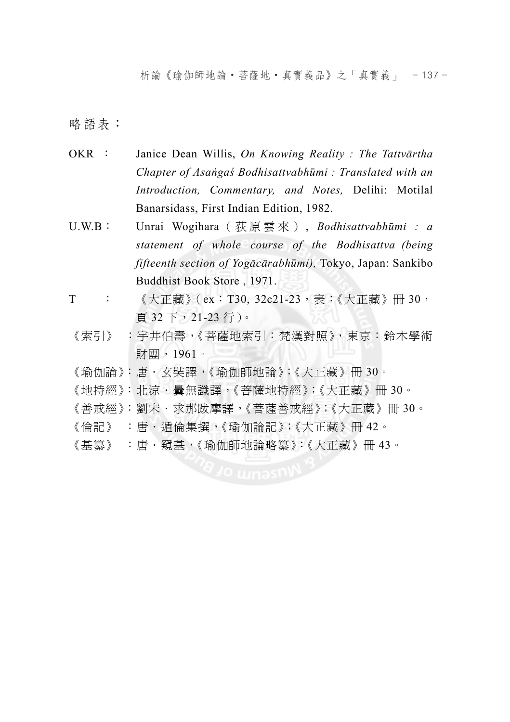析論《瑜伽師地論‧菩薩地‧真實義品》之「真實義」 - 137 -

略語表:

- OKR : Janice Dean Willis, *On Knowing Reality : The Tattvārtha Chapter of Asaṅgaś Bodhisattvabhūmi : Translated with an Introduction, Commentary, and Notes,* Delihi: Motilal Banarsidass, First Indian Edition, 1982.
- U.W.B: Unrai Wogihara (荻原雲來) , *Bodhisattvabhūmi : a statement of whole course of the Bodhisattva (being fifteenth section of Yogācārabhūmi),* Tokyo, Japan: Sankibo Buddhist Book Store , 1971.
- T : 《大正藏》(ex:T30, 32c21-23,表:《大正藏》冊 30, 頁 32 下,21-23 行)。
- 《索引》 :宇井伯壽,《菩薩地索引:梵漢對照》,東京:鈴木學術 財團,1961。
- 《瑜伽論》:唐.玄奘譯,《瑜伽師地論》;《大正藏》冊 30。
- 《地持經》:北涼·曇無讖譯,《菩薩地持經》;《大正藏》冊 30。
- 《善戒經》:劉宋 · 求那跋摩譯,《菩薩善戒經》;《大正藏》冊 30。
- 《倫記》 :唐·遁倫集撰,《瑜伽論記》;《大正藏》冊 42。
- 《基纂》 :唐.窺基,《瑜伽師地論略纂》:《大正藏》冊 43。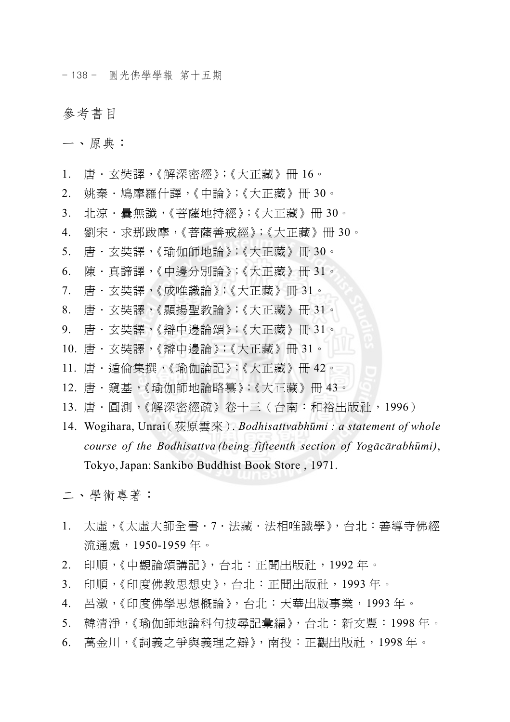- 138 - 圓光佛學學報 第十五期

## 參考書目

一、原典:

- 1. 唐·玄奘譯,《解深密經》;《大正藏》冊 16。
- 2. 姚秦·鳩摩羅什譯,《中論》;《大正藏》冊 30。
- 3. 北涼·曇無讖,《菩薩地持經》;《大正藏》冊 30。
- 4. 劉宋·求那跋摩,《菩薩善戒經》;《大正藏》冊 30。
- 5. 唐.玄奘譯,《瑜伽師地論》;《大正藏》冊 30。
- 6. 陳.真諦譯,《中邊分別論》;《大正藏》冊 31。
- 7. 唐.玄奘譯,《成唯識論》;《大正藏》冊 31。
- 8. 唐.玄奘譯,《顯揚聖教論》;《大正藏》冊 31。
- 9. 唐.玄奘譯,《辯中邊論頌》;《大正藏》冊 31。
- 10. 唐.玄奘譯,《辯中邊論》;《大正藏》冊 31。
- 11. 唐·遁倫集撰,《瑜伽論記》;《大正藏》冊 42。
- 12. 唐·窺基,《瑜伽師地論略纂》;《大正藏》冊 43。
- 13. 唐·圓測,《解深密經疏》卷十三(台南:和裕出版社,1996)
- 14. Wogihara, Unrai(荻原雲來). *Bodhisattvabhūmi : a statement of whole course of the Bodhisattva (being fifteenth section of Yogācārabhūmi)*, Tokyo,Japan: Sankibo Buddhist Book Store , 1971.

二、學術專著:

- 1. 太虛,《太虛大師全書.7.法藏.法相唯識學》,台北:善導寺佛經 流通處,1950-1959 年。
- 2. 印順,《中觀論頌講記》,台北:正聞出版社,1992 年。
- 3. 印順,《印度佛教思想史》,台北:正聞出版社,1993 年。
- 4. 呂澂,《印度佛學思想概論》,台北:天華出版事業,1993 年。
- 5. 韓清淨,《瑜伽師地論科句披尋記彙編》,台北:新文豐:1998年。
- 6. 萬金川,《詞義之爭與義理之辯》,南投:正觀出版社,1998 年。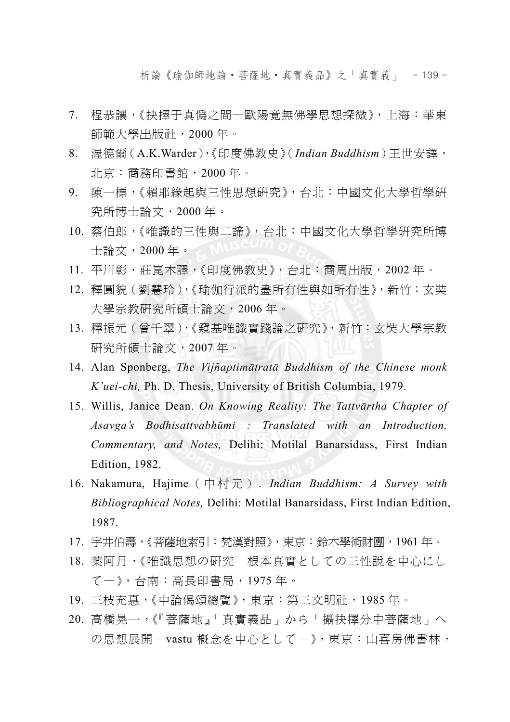析論《瑜伽師地論‧菩薩地‧真實義品》之「真實義」 - 139 -

- 7. 程恭讓,《抉擇于真偽之間—歐陽竟無佛學思想探微》,上海:華東 師範大學出版社,2000 年。
- 8. 渥德爾(A.K.Warder),《印度佛教史》(*Indian Buddhism*)王世安譯, 北京:商務印書館,2000 年。
- 9. 陳一標,《賴耶緣起與三性思想研究》,台北:中國文化大學哲學研 究所博士論文,2000 年。
- 10. 蔡伯郎,《唯識的三性與二諦》,台北:中國文化大學哲學研究所博 士論文,2000 年。
- 11. 平川彰·莊崑木譯,《印度佛教史》,台北:商周出版, 2002年。
- 12. 釋圓貌(劉慧玲),《瑜伽行派的盡所有性與如所有性》,新竹:玄奘 大學宗教研究所碩士論文,2006 年。
- 13. 釋振元(曾千翠),《窺基唯識實踐論之研究》,新竹:玄奘大學宗教 研究所碩士論文,2007 年。
- 14. Alan Sponberg, *The Vijñaptimātratā Buddhism of the Chinese monk K'uei-chi,* Ph. D. Thesis, University of British Columbia, 1979.
- 15. Willis, Janice Dean. *On Knowing Reality: The Tattvārtha Chapter of Asavga's Bodhisattvabhūmi : Translated with an Introduction, Commentary, and Notes,* Delihi: Motilal Banarsidass, First Indian Edition, 1982.
- 16. Nakamura, Hajime(中村元) . *Indian Buddhism: A Survey with Bibliographical Notes,* Delihi: Motilal Banarsidass, First Indian Edition, 1987.
- 17. 宇井伯壽,《菩薩地索引:梵漢對照》,東京:鈴木學術財團,1961 年。
- 18. 葉阿月,《唯識思想の研究—根本真實としての三性說を中心にし て—》,台南:高長印書局,1975 年。
- 19. 三枝充惪,《中論偈頌總覽》,東京:第三文明社,1985 年。
- 20. 高橋晃一,《『菩薩地』「真實義品」から「攝抉擇分中菩薩地」へ の思想展開—vastu 概念を中心として—》,東京:山喜房佛書林,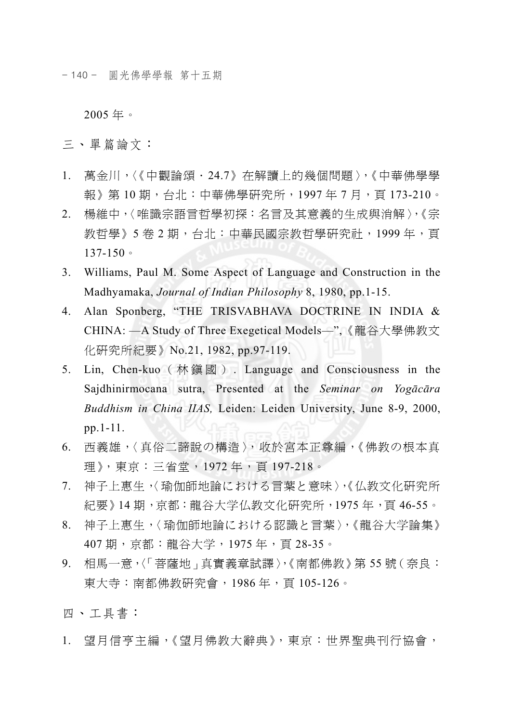- 140 - 圓光佛學學報 第十五期

2005 年。

三、單篇論文:

- 1. 萬金川,〈《中觀論頌.24.7》在解讀上的幾個問題〉,《中華佛學學 報》第 10 期,台北:中華佛學研究所,1997 年 7 月,頁 173-210。
- 2. 楊維中,〈唯識宗語言哲學初探:名言及其意義的生成與消解〉,《宗 教哲學》5 卷 2 期,台北:中華民國宗教哲學研究社,1999 年,頁 137-150。
- 3. Williams, Paul M. Some Aspect of Language and Construction in the Madhyamaka, *Journal of Indian Philosophy* 8, 1980, pp.1-15.
- 4. Alan Sponberg, "THE TRISVABHAVA DOCTRINE IN INDIA & CHINA: —A Study of Three Exegetical Models—",《龍谷大學佛教文 化研究所紀要》No.21, 1982, pp.97-119.
- 5. Lin, Chen-kuo (林鎮國) . Language and Consciousness in the Sajdhinirmocana sutra, Presented at the *Seminar on Yogācāra Buddhism in China IIAS,* Leiden: Leiden University, June 8-9, 2000, pp.1-11.
- 6. 西義雄,〈真俗二諦說の構造〉,收於宮本正尊編,《佛教の根本真 理》,東京:三省堂,1972 年,頁 197-218。
- 7. 神子上惠生,〈瑜伽師地論における言葉と意味〉,《仏教文化研究所 紀要》14期,京都:龍谷大学仏教文化研究所,1975年,頁46-55。
- 8. 神子上惠生,〈瑜伽師地論における認識と言葉〉,《龍谷大学論集》 407 期,京都:龍谷大学,1975 年,頁 28-35。
- 9. 相馬一意,〈「菩薩地」真實義章試譯〉,《南都佛教》第55號(奈良: 東大寺:南都佛教研究會,1986 年,頁 105-126。

四、工具書:

1. 望月信亨主編,《望月佛教大辭典》,東京:世界聖典刊行協會,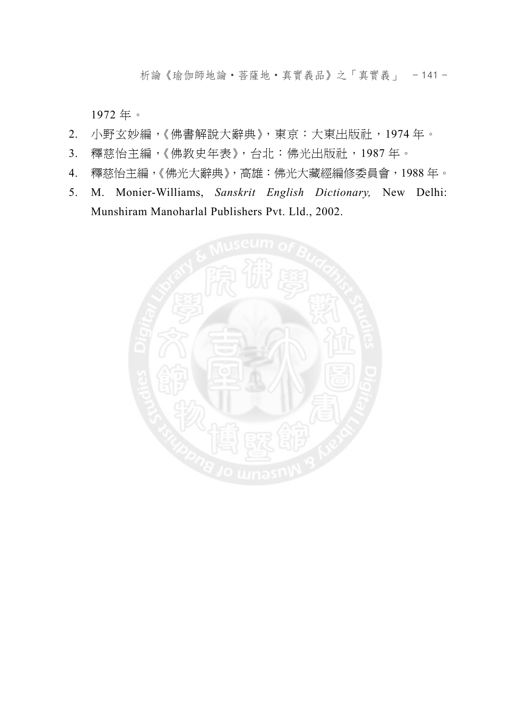析論《瑜伽師地論‧菩薩地‧真實義品》之「真實義」 - 141 -

1972 年。

- 2. 小野玄妙編,《佛書解說大辭典》,東京:大東出版社,1974 年。
- 3. 釋慈怡主編,《佛教史年表》,台北:佛光出版社,1987年。
- 4. 釋慈怡主編,《佛光大辭典》,高雄:佛光大藏經編修委員會,1988 年。
- 5. M. Monier-Williams, *Sanskrit English Dictionary,* New Delhi: Munshiram Manoharlal Publishers Pvt. Lld., 2002.